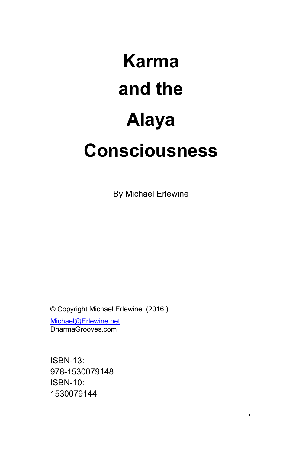# **Karma and the Alaya Consciousness**

By Michael Erlewine

1

© Copyright Michael Erlewine (2016 ) [Michael@Erlewine.net](mailto:Michael@Erlewine.net) DharmaGrooves.com

ISBN-13: 978-1530079148 ISBN-10: 1530079144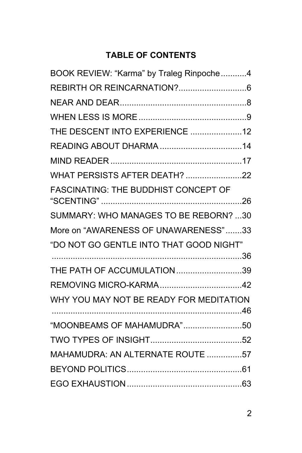# **TABLE OF CONTENTS**

| BOOK REVIEW: "Karma" by Traleg Rinpoche4 |  |
|------------------------------------------|--|
|                                          |  |
|                                          |  |
|                                          |  |
| THE DESCENT INTO EXPERIENCE 12           |  |
|                                          |  |
|                                          |  |
| <b>WHAT PERSISTS AFTER DEATH? 22</b>     |  |
| FASCINATING: THE BUDDHIST CONCEPT OF     |  |
| SUMMARY: WHO MANAGES TO BE REBORN? 30    |  |
| More on "AWARENESS OF UNAWARENESS"33     |  |
| "DO NOT GO GENTLE INTO THAT GOOD NIGHT"  |  |
|                                          |  |
| THE PATH OF ACCUMULATION39               |  |
|                                          |  |
| WHY YOU MAY NOT BE READY FOR MEDITATION  |  |
| "MOONBEAMS OF MAHAMUDRA"50               |  |
|                                          |  |
| MAHAMUDRA: AN ALTERNATE ROUTE 57         |  |
|                                          |  |
|                                          |  |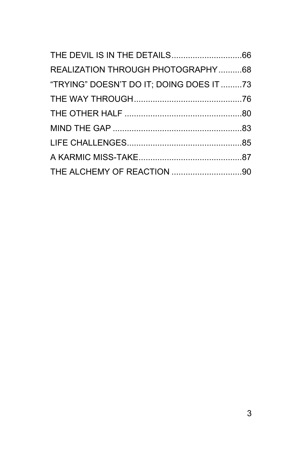| REALIZATION THROUGH PHOTOGRAPHY68        |  |
|------------------------------------------|--|
| "TRYING" DOESN'T DO IT; DOING DOES IT 73 |  |
|                                          |  |
|                                          |  |
|                                          |  |
|                                          |  |
|                                          |  |
|                                          |  |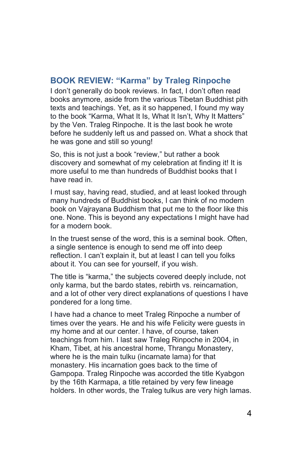#### <span id="page-3-0"></span>**BOOK REVIEW: "Karma" by Traleg Rinpoche**

I don't generally do book reviews. In fact, I don't often read books anymore, aside from the various Tibetan Buddhist pith texts and teachings. Yet, as it so happened, I found my way to the book "Karma, What It Is, What It Isn't, Why It Matters" by the Ven. Traleg Rinpoche. It is the last book he wrote before he suddenly left us and passed on. What a shock that he was gone and still so young!

So, this is not just a book "review," but rather a book discovery and somewhat of my celebration at finding it! It is more useful to me than hundreds of Buddhist books that I have read in.

I must say, having read, studied, and at least looked through many hundreds of Buddhist books, I can think of no modern book on Vajrayana Buddhism that put me to the floor like this one. None. This is beyond any expectations I might have had for a modern book.

In the truest sense of the word, this is a seminal book. Often, a single sentence is enough to send me off into deep reflection. I can't explain it, but at least I can tell you folks about it. You can see for yourself, if you wish.

The title is "karma," the subjects covered deeply include, not only karma, but the bardo states, rebirth vs. reincarnation, and a lot of other very direct explanations of questions I have pondered for a long time.

I have had a chance to meet Traleg Rinpoche a number of times over the years. He and his wife Felicity were guests in my home and at our center. I have, of course, taken teachings from him. I last saw Traleg Rinpoche in 2004, in Kham, Tibet, at his ancestral home, Thrangu Monastery, where he is the main tulku (incarnate lama) for that monastery. His incarnation goes back to the time of Gampopa. Traleg Rinpoche was accorded the title Kyabgon by the 16th Karmapa, a title retained by very few lineage holders. In other words, the Traleg tulkus are very high lamas.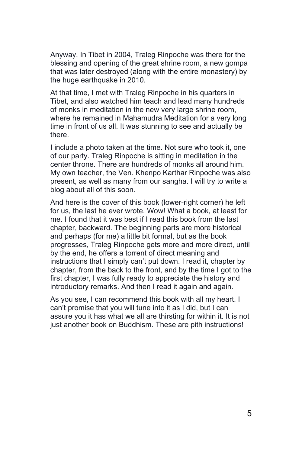Anyway, In Tibet in 2004, Traleg Rinpoche was there for the blessing and opening of the great shrine room, a new gompa that was later destroyed (along with the entire monastery) by the huge earthquake in 2010.

At that time, I met with Traleg Rinpoche in his quarters in Tibet, and also watched him teach and lead many hundreds of monks in meditation in the new very large shrine room, where he remained in Mahamudra Meditation for a very long time in front of us all. It was stunning to see and actually be there.

I include a photo taken at the time. Not sure who took it, one of our party. Traleg Rinpoche is sitting in meditation in the center throne. There are hundreds of monks all around him. My own teacher, the Ven. Khenpo Karthar Rinpoche was also present, as well as many from our sangha. I will try to write a blog about all of this soon.

And here is the cover of this book (lower-right corner) he left for us, the last he ever wrote. Wow! What a book, at least for me. I found that it was best if I read this book from the last chapter, backward. The beginning parts are more historical and perhaps (for me) a little bit formal, but as the book progresses, Traleg Rinpoche gets more and more direct, until by the end, he offers a torrent of direct meaning and instructions that I simply can't put down. I read it, chapter by chapter, from the back to the front, and by the time I got to the first chapter, I was fully ready to appreciate the history and introductory remarks. And then I read it again and again.

As you see, I can recommend this book with all my heart. I can't promise that you will tune into it as I did, but I can assure you it has what we all are thirsting for within it. It is not just another book on Buddhism. These are pith instructions!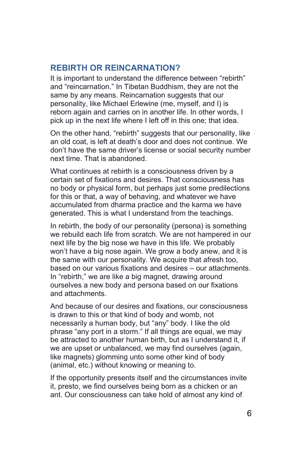#### <span id="page-5-0"></span>**REBIRTH OR REINCARNATION?**

It is important to understand the difference between "rebirth" and "reincarnation." In Tibetan Buddhism, they are not the same by any means. Reincarnation suggests that our personality, like Michael Erlewine (me, myself, and I) is reborn again and carries on in another life. In other words, I pick up in the next life where I left off in this one; that idea.

On the other hand, "rebirth" suggests that our personality, like an old coat, is left at death's door and does not continue. We don't have the same driver's license or social security number next time. That is abandoned.

What continues at rebirth is a consciousness driven by a certain set of fixations and desires. That consciousness has no body or physical form, but perhaps just some predilections for this or that, a way of behaving, and whatever we have accumulated from dharma practice and the karma we have generated. This is what I understand from the teachings.

In rebirth, the body of our personality (persona) is something we rebuild each life from scratch. We are not hampered in our next life by the big nose we have in this life. We probably won't have a big nose again. We grow a body anew, and it is the same with our personality. We acquire that afresh too, based on our various fixations and desires – our attachments. In "rebirth," we are like a big magnet, drawing around ourselves a new body and persona based on our fixations and attachments.

And because of our desires and fixations, our consciousness is drawn to this or that kind of body and womb, not necessarily a human body, but "any" body. I like the old phrase "any port in a storm." If all things are equal, we may be attracted to another human birth, but as I understand it, if we are upset or unbalanced, we may find ourselves (again, like magnets) glomming unto some other kind of body (animal, etc.) without knowing or meaning to.

If the opportunity presents itself and the circumstances invite it, presto, we find ourselves being born as a chicken or an ant. Our consciousness can take hold of almost any kind of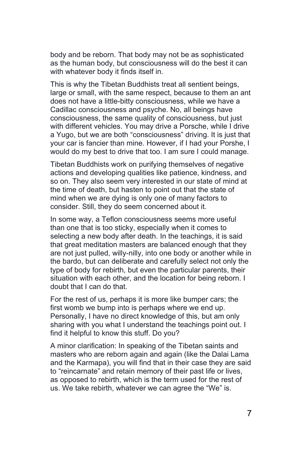body and be reborn. That body may not be as sophisticated as the human body, but consciousness will do the best it can with whatever body it finds itself in.

This is why the Tibetan Buddhists treat all sentient beings, large or small, with the same respect, because to them an ant does not have a little-bitty consciousness, while we have a Cadillac consciousness and psyche. No, all beings have consciousness, the same quality of consciousness, but just with different vehicles. You may drive a Porsche, while I drive a Yugo, but we are both "consciousness" driving. It is just that your car is fancier than mine. However, if I had your Porshe, I would do my best to drive that too. I am sure I could manage.

Tibetan Buddhists work on purifying themselves of negative actions and developing qualities like patience, kindness, and so on. They also seem very interested in our state of mind at the time of death, but hasten to point out that the state of mind when we are dying is only one of many factors to consider. Still, they do seem concerned about it.

In some way, a Teflon consciousness seems more useful than one that is too sticky, especially when it comes to selecting a new body after death. In the teachings, it is said that great meditation masters are balanced enough that they are not just pulled, willy-nilly, into one body or another while in the bardo, but can deliberate and carefully select not only the type of body for rebirth, but even the particular parents, their situation with each other, and the location for being reborn. I doubt that I can do that.

For the rest of us, perhaps it is more like bumper cars; the first womb we bump into is perhaps where we end up. Personally, I have no direct knowledge of this, but am only sharing with you what I understand the teachings point out. I find it helpful to know this stuff. Do you?

A minor clarification: In speaking of the Tibetan saints and masters who are reborn again and again (like the Dalai Lama and the Karmapa), you will find that in their case they are said to "reincarnate" and retain memory of their past life or lives, as opposed to rebirth, which is the term used for the rest of us. We take rebirth, whatever we can agree the "We" is.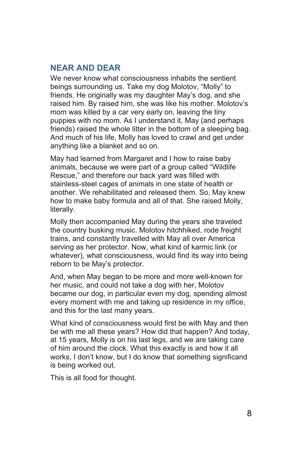#### <span id="page-7-0"></span>**NEAR AND DEAR**

We never know what consciousness inhabits the sentient beings surrounding us. Take my dog Molotov, "Molly" to friends. He originally was my daughter May's dog, and she raised him. By raised him, she was like his mother. Molotov's mom was killed by a car very early on, leaving the tiny puppies with no mom. As I understand it, May (and perhaps friends) raised the whole litter in the bottom of a sleeping bag. And much of his life, Molly has loved to crawl and get under anything like a blanket and so on.

May had learned from Margaret and I how to raise baby animals, because we were part of a group called "Wildlife Rescue," and therefore our back yard was filled with stainless-steel cages of animals in one state of health or another. We rehabilitated and released them. So, May knew how to make baby formula and all of that. She raised Molly, literally.

Molly then accompanied May during the years she traveled the country busking music. Molotov hitchhiked, rode freight trains, and constantly travelled with May all over America serving as her protector. Now, what kind of karmic link (or whatever), what consciousness, would find its way into being reborn to be May's protector.

And, when May began to be more and more well-known for her music, and could not take a dog with her, Molotov became our dog, in particular even my dog, spending almost every moment with me and taking up residence in my office, and this for the last many years.

What kind of consciousness would first be with May and then be with me all these years? How did that happen? And today, at 15 years, Molly is on his last legs, and we are taking care of him around the clock. What this exactly is and how it all works, I don't know, but I do know that something significand is being worked out.

This is all food for thought.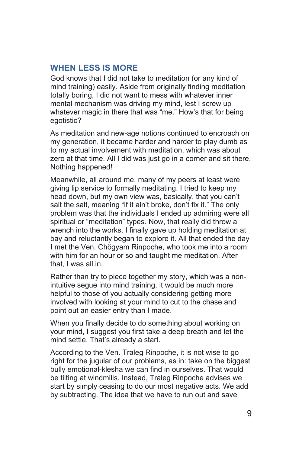#### <span id="page-8-0"></span>**WHEN LESS IS MORE**

God knows that I did not take to meditation (or any kind of mind training) easily. Aside from originally finding meditation totally boring, I did not want to mess with whatever inner mental mechanism was driving my mind, lest I screw up whatever magic in there that was "me." How's that for being egotistic?

As meditation and new-age notions continued to encroach on my generation, it became harder and harder to play dumb as to my actual involvement with meditation, which was about zero at that time. All I did was just go in a corner and sit there. Nothing happened!

Meanwhile, all around me, many of my peers at least were giving lip service to formally meditating. I tried to keep my head down, but my own view was, basically, that you can't salt the salt, meaning "if it ain't broke, don't fix it." The only problem was that the individuals I ended up admiring were all spiritual or "meditation" types. Now, that really did throw a wrench into the works. I finally gave up holding meditation at bay and reluctantly began to explore it. All that ended the day I met the Ven. Chögyam Rinpoche, who took me into a room with him for an hour or so and taught me meditation. After that, I was all in.

Rather than try to piece together my story, which was a nonintuitive segue into mind training, it would be much more helpful to those of you actually considering getting more involved with looking at your mind to cut to the chase and point out an easier entry than I made.

When you finally decide to do something about working on your mind, I suggest you first take a deep breath and let the mind settle. That's already a start.

According to the Ven. Traleg Rinpoche, it is not wise to go right for the jugular of our problems, as in: take on the biggest bully emotional-klesha we can find in ourselves. That would be tilting at windmills. Instead, Traleg Rinpoche advises we start by simply ceasing to do our most negative acts. We add by subtracting. The idea that we have to run out and save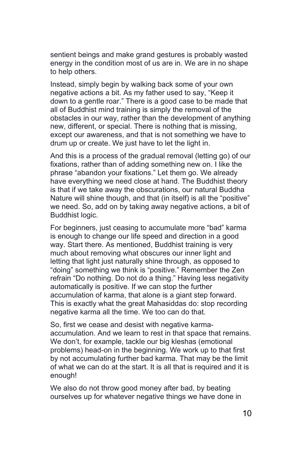sentient beings and make grand gestures is probably wasted energy in the condition most of us are in. We are in no shape to help others.

Instead, simply begin by walking back some of your own negative actions a bit. As my father used to say, "Keep it down to a gentle roar." There is a good case to be made that all of Buddhist mind training is simply the removal of the obstacles in our way, rather than the development of anything new, different, or special. There is nothing that is missing, except our awareness, and that is not something we have to drum up or create. We just have to let the light in.

And this is a process of the gradual removal (letting go) of our fixations, rather than of adding something new on. I like the phrase "abandon your fixations." Let them go. We already have everything we need close at hand. The Buddhist theory is that if we take away the obscurations, our natural Buddha Nature will shine though, and that (in itself) is all the "positive" we need. So, add on by taking away negative actions, a bit of Buddhist logic.

For beginners, just ceasing to accumulate more "bad" karma is enough to change our life speed and direction in a good way. Start there. As mentioned, Buddhist training is very much about removing what obscures our inner light and letting that light just naturally shine through, as opposed to "doing" something we think is "positive." Remember the Zen refrain "Do nothing. Do not do a thing." Having less negativity automatically is positive. If we can stop the further accumulation of karma, that alone is a giant step forward. This is exactly what the great Mahasiddas do: stop recording negative karma all the time. We too can do that.

So, first we cease and desist with negative karmaaccumulation. And we learn to rest in that space that remains. We don't, for example, tackle our big kleshas (emotional problems) head-on in the beginning. We work up to that first by not accumulating further bad karma. That may be the limit of what we can do at the start. It is all that is required and it is enough!

We also do not throw good money after bad, by beating ourselves up for whatever negative things we have done in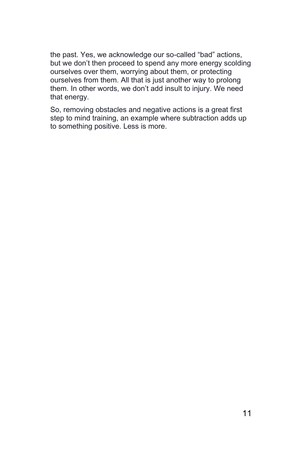the past. Yes, we acknowledge our so-called "bad" actions, but we don't then proceed to spend any more energy scolding ourselves over them, worrying about them, or protecting ourselves from them. All that is just another way to prolong them. In other words, we don't add insult to injury. We need that energy.

So, removing obstacles and negative actions is a great first step to mind training, an example where subtraction adds up to something positive. Less is more.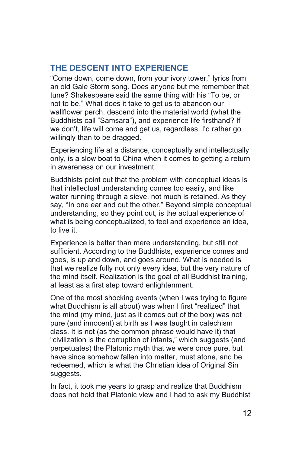## <span id="page-11-0"></span>**THE DESCENT INTO EXPERIENCE**

"Come down, come down, from your ivory tower," lyrics from an old Gale Storm song. Does anyone but me remember that tune? Shakespeare said the same thing with his "To be, or not to be." What does it take to get us to abandon our wallflower perch, descend into the material world (what the Buddhists call "Samsara"), and experience life firsthand? If we don't, life will come and get us, regardless. I'd rather go willingly than to be dragged.

Experiencing life at a distance, conceptually and intellectually only, is a slow boat to China when it comes to getting a return in awareness on our investment.

Buddhists point out that the problem with conceptual ideas is that intellectual understanding comes too easily, and like water running through a sieve, not much is retained. As they say, "In one ear and out the other." Beyond simple conceptual understanding, so they point out, is the actual experience of what is being conceptualized, to feel and experience an idea, to live it.

Experience is better than mere understanding, but still not sufficient. According to the Buddhists, experience comes and goes, is up and down, and goes around. What is needed is that we realize fully not only every idea, but the very nature of the mind itself. Realization is the goal of all Buddhist training, at least as a first step toward enlightenment.

One of the most shocking events (when I was trying to figure what Buddhism is all about) was when I first "realized" that the mind (my mind, just as it comes out of the box) was not pure (and innocent) at birth as I was taught in catechism class. It is not (as the common phrase would have it) that "civilization is the corruption of infants," which suggests (and perpetuates) the Platonic myth that we were once pure, but have since somehow fallen into matter, must atone, and be redeemed, which is what the Christian idea of Original Sin suggests.

In fact, it took me years to grasp and realize that Buddhism does not hold that Platonic view and I had to ask my Buddhist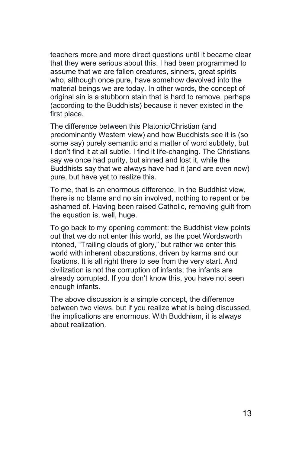teachers more and more direct questions until it became clear that they were serious about this. I had been programmed to assume that we are fallen creatures, sinners, great spirits who, although once pure, have somehow devolved into the material beings we are today. In other words, the concept of original sin is a stubborn stain that is hard to remove, perhaps (according to the Buddhists) because it never existed in the first place.

The difference between this Platonic/Christian (and predominantly Western view) and how Buddhists see it is (so some say) purely semantic and a matter of word subtlety, but I don't find it at all subtle. I find it life-changing. The Christians say we once had purity, but sinned and lost it, while the Buddhists say that we always have had it (and are even now) pure, but have yet to realize this.

To me, that is an enormous difference. In the Buddhist view, there is no blame and no sin involved, nothing to repent or be ashamed of. Having been raised Catholic, removing guilt from the equation is, well, huge.

To go back to my opening comment: the Buddhist view points out that we do not enter this world, as the poet Wordsworth intoned, "Trailing clouds of glory," but rather we enter this world with inherent obscurations, driven by karma and our fixations. It is all right there to see from the very start. And civilization is not the corruption of infants; the infants are already corrupted. If you don't know this, you have not seen enough infants.

The above discussion is a simple concept, the difference between two views, but if you realize what is being discussed, the implications are enormous. With Buddhism, it is always about realization.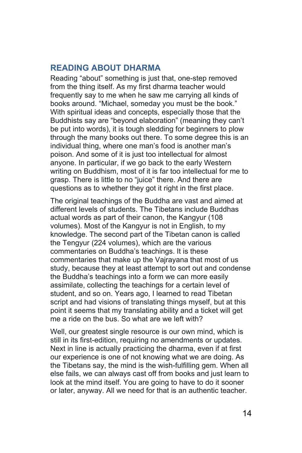#### <span id="page-13-0"></span>**READING ABOUT DHARMA**

Reading "about" something is just that, one-step removed from the thing itself. As my first dharma teacher would frequently say to me when he saw me carrying all kinds of books around. "Michael, someday you must be the book." With spiritual ideas and concepts, especially those that the Buddhists say are "beyond elaboration" (meaning they can't be put into words), it is tough sledding for beginners to plow through the many books out there. To some degree this is an individual thing, where one man's food is another man's poison. And some of it is just too intellectual for almost anyone. In particular, if we go back to the early Western writing on Buddhism, most of it is far too intellectual for me to grasp. There is little to no "juice" there. And there are questions as to whether they got it right in the first place.

The original teachings of the Buddha are vast and aimed at different levels of students. The Tibetans include Buddhas actual words as part of their canon, the Kangyur (108 volumes). Most of the Kangyur is not in English, to my knowledge. The second part of the Tibetan canon is called the Tengyur (224 volumes), which are the various commentaries on Buddha's teachings. It is these commentaries that make up the Vajrayana that most of us study, because they at least attempt to sort out and condense the Buddha's teachings into a form we can more easily assimilate, collecting the teachings for a certain level of student, and so on. Years ago, I learned to read Tibetan script and had visions of translating things myself, but at this point it seems that my translating ability and a ticket will get me a ride on the bus. So what are we left with?

Well, our greatest single resource is our own mind, which is still in its first-edition, requiring no amendments or updates. Next in line is actually practicing the dharma, even if at first our experience is one of not knowing what we are doing. As the Tibetans say, the mind is the wish-fulfilling gem. When all else fails, we can always cast off from books and just learn to look at the mind itself. You are going to have to do it sooner or later, anyway. All we need for that is an authentic teacher.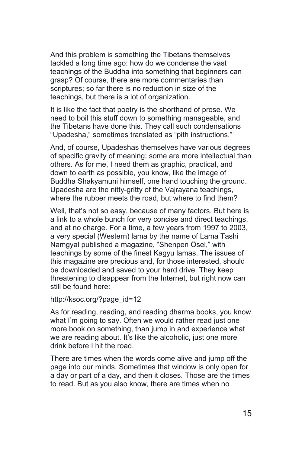And this problem is something the Tibetans themselves tackled a long time ago: how do we condense the vast teachings of the Buddha into something that beginners can grasp? Of course, there are more commentaries than scriptures; so far there is no reduction in size of the teachings, but there is a lot of organization.

It is like the fact that poetry is the shorthand of prose. We need to boil this stuff down to something manageable, and the Tibetans have done this. They call such condensations "Upadesha," sometimes translated as "pith instructions."

And, of course, Upadeshas themselves have various degrees of specific gravity of meaning; some are more intellectual than others. As for me, I need them as graphic, practical, and down to earth as possible, you know, like the image of Buddha Shakyamuni himself, one hand touching the ground. Upadesha are the nitty-gritty of the Vajrayana teachings, where the rubber meets the road, but where to find them?

Well, that's not so easy, because of many factors. But here is a link to a whole bunch for very concise and direct teachings, and at no charge. For a time, a few years from 1997 to 2003, a very special (Western) lama by the name of Lama Tashi Namgyal published a magazine, "Shenpen Ösel," with teachings by some of the finest Kagyu lamas. The issues of this magazine are precious and, for those interested, should be downloaded and saved to your hard drive. They keep threatening to disappear from the Internet, but right now can still be found here:

#### http://ksoc.org/?page\_id=12

As for reading, reading, and reading dharma books, you know what I'm going to say. Often we would rather read just one more book on something, than jump in and experience what we are reading about. It's like the alcoholic, just one more drink before I hit the road.

There are times when the words come alive and jump off the page into our minds. Sometimes that window is only open for a day or part of a day, and then it closes. Those are the times to read. But as you also know, there are times when no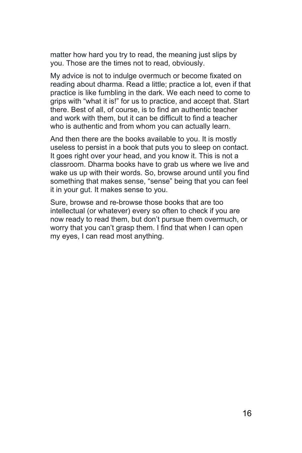matter how hard you try to read, the meaning just slips by you. Those are the times not to read, obviously.

My advice is not to indulge overmuch or become fixated on reading about dharma. Read a little; practice a lot, even if that practice is like fumbling in the dark. We each need to come to grips with "what it is!" for us to practice, and accept that. Start there. Best of all, of course, is to find an authentic teacher and work with them, but it can be difficult to find a teacher who is authentic and from whom you can actually learn.

And then there are the books available to you. It is mostly useless to persist in a book that puts you to sleep on contact. It goes right over your head, and you know it. This is not a classroom. Dharma books have to grab us where we live and wake us up with their words. So, browse around until you find something that makes sense, "sense" being that you can feel it in your gut. It makes sense to you.

Sure, browse and re-browse those books that are too intellectual (or whatever) every so often to check if you are now ready to read them, but don't pursue them overmuch, or worry that you can't grasp them. I find that when I can open my eyes, I can read most anything.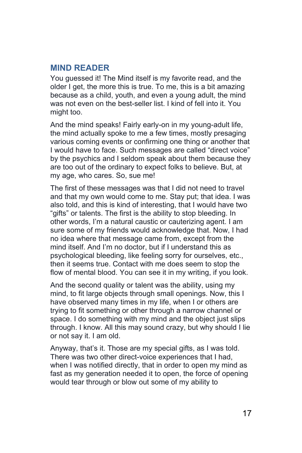#### <span id="page-16-0"></span>**MIND READER**

You guessed it! The Mind itself is my favorite read, and the older I get, the more this is true. To me, this is a bit amazing because as a child, youth, and even a young adult, the mind was not even on the best-seller list. I kind of fell into it. You might too.

And the mind speaks! Fairly early-on in my young-adult life, the mind actually spoke to me a few times, mostly presaging various coming events or confirming one thing or another that I would have to face. Such messages are called "direct voice" by the psychics and I seldom speak about them because they are too out of the ordinary to expect folks to believe. But, at my age, who cares. So, sue me!

The first of these messages was that I did not need to travel and that my own would come to me. Stay put; that idea. I was also told, and this is kind of interesting, that I would have two "gifts" or talents. The first is the ability to stop bleeding. In other words, I'm a natural caustic or cauterizing agent. I am sure some of my friends would acknowledge that. Now, I had no idea where that message came from, except from the mind itself. And I'm no doctor, but if I understand this as psychological bleeding, like feeling sorry for ourselves, etc., then it seems true. Contact with me does seem to stop the flow of mental blood. You can see it in my writing, if you look.

And the second quality or talent was the ability, using my mind, to fit large objects through small openings. Now, this I have observed many times in my life, when I or others are trying to fit something or other through a narrow channel or space. I do something with my mind and the object just slips through. I know. All this may sound crazy, but why should I lie or not say it. I am old.

Anyway, that's it. Those are my special gifts, as I was told. There was two other direct-voice experiences that I had, when I was notified directly, that in order to open my mind as fast as my generation needed it to open, the force of opening would tear through or blow out some of my ability to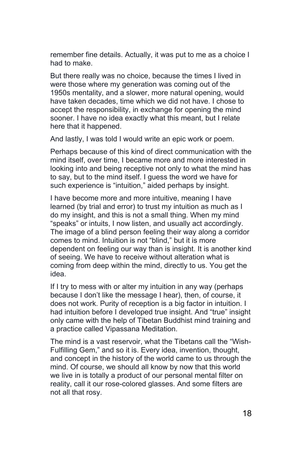remember fine details. Actually, it was put to me as a choice I had to make.

But there really was no choice, because the times I lived in were those where my generation was coming out of the 1950s mentality, and a slower, more natural opening, would have taken decades, time which we did not have. I chose to accept the responsibility, in exchange for opening the mind sooner. I have no idea exactly what this meant, but I relate here that it happened.

And lastly, I was told I would write an epic work or poem.

Perhaps because of this kind of direct communication with the mind itself, over time, I became more and more interested in looking into and being receptive not only to what the mind has to say, but to the mind itself. I guess the word we have for such experience is "intuition," aided perhaps by insight.

I have become more and more intuitive, meaning I have learned (by trial and error) to trust my intuition as much as I do my insight, and this is not a small thing. When my mind "speaks" or intuits, I now listen, and usually act accordingly. The image of a blind person feeling their way along a corridor comes to mind. Intuition is not "blind," but it is more dependent on feeling our way than is insight. It is another kind of seeing. We have to receive without alteration what is coming from deep within the mind, directly to us. You get the idea.

If I try to mess with or alter my intuition in any way (perhaps because I don't like the message I hear), then, of course, it does not work. Purity of reception is a big factor in intuition. I had intuition before I developed true insight. And "true" insight only came with the help of Tibetan Buddhist mind training and a practice called Vipassana Meditation.

The mind is a vast reservoir, what the Tibetans call the "Wish-Fulfilling Gem," and so it is. Every idea, invention, thought, and concept in the history of the world came to us through the mind. Of course, we should all know by now that this world we live in is totally a product of our personal mental filter on reality, call it our rose-colored glasses. And some filters are not all that rosy.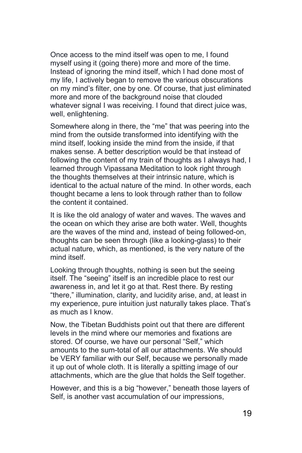Once access to the mind itself was open to me, I found myself using it (going there) more and more of the time. Instead of ignoring the mind itself, which I had done most of my life, I actively began to remove the various obscurations on my mind's filter, one by one. Of course, that just eliminated more and more of the background noise that clouded whatever signal I was receiving. I found that direct juice was, well, enlightening.

Somewhere along in there, the "me" that was peering into the mind from the outside transformed into identifying with the mind itself, looking inside the mind from the inside, if that makes sense. A better description would be that instead of following the content of my train of thoughts as I always had, I learned through Vipassana Meditation to look right through the thoughts themselves at their intrinsic nature, which is identical to the actual nature of the mind. In other words, each thought became a lens to look through rather than to follow the content it contained.

It is like the old analogy of water and waves. The waves and the ocean on which they arise are both water. Well, thoughts are the waves of the mind and, instead of being followed-on, thoughts can be seen through (like a looking-glass) to their actual nature, which, as mentioned, is the very nature of the mind itself.

Looking through thoughts, nothing is seen but the seeing itself. The "seeing" itself is an incredible place to rest our awareness in, and let it go at that. Rest there. By resting "there," illumination, clarity, and lucidity arise, and, at least in my experience, pure intuition just naturally takes place. That's as much as I know.

Now, the Tibetan Buddhists point out that there are different levels in the mind where our memories and fixations are stored. Of course, we have our personal "Self," which amounts to the sum-total of all our attachments. We should be VERY familiar with our Self, because we personally made it up out of whole cloth. It is literally a spitting image of our attachments, which are the glue that holds the Self together.

However, and this is a big "however," beneath those layers of Self, is another vast accumulation of our impressions,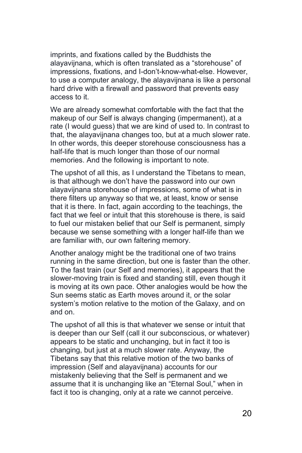imprints, and fixations called by the Buddhists the alayavijnana, which is often translated as a "storehouse" of impressions, fixations, and I-don't-know-what-else. However, to use a computer analogy, the alayavijnana is like a personal hard drive with a firewall and password that prevents easy access to it.

We are already somewhat comfortable with the fact that the makeup of our Self is always changing (impermanent), at a rate (I would guess) that we are kind of used to. In contrast to that, the alayavijnana changes too, but at a much slower rate. In other words, this deeper storehouse consciousness has a half-life that is much longer than those of our normal memories. And the following is important to note.

The upshot of all this, as I understand the Tibetans to mean, is that although we don't have the password into our own alayavijnana storehouse of impressions, some of what is in there filters up anyway so that we, at least, know or sense that it is there. In fact, again according to the teachings, the fact that we feel or intuit that this storehouse is there, is said to fuel our mistaken belief that our Self is permanent, simply because we sense something with a longer half-life than we are familiar with, our own faltering memory.

Another analogy might be the traditional one of two trains running in the same direction, but one is faster than the other. To the fast train (our Self and memories), it appears that the slower-moving train is fixed and standing still, even though it is moving at its own pace. Other analogies would be how the Sun seems static as Earth moves around it, or the solar system's motion relative to the motion of the Galaxy, and on and on.

The upshot of all this is that whatever we sense or intuit that is deeper than our Self (call it our subconscious, or whatever) appears to be static and unchanging, but in fact it too is changing, but just at a much slower rate. Anyway, the Tibetans say that this relative motion of the two banks of impression (Self and alayavijnana) accounts for our mistakenly believing that the Self is permanent and we assume that it is unchanging like an "Eternal Soul," when in fact it too is changing, only at a rate we cannot perceive.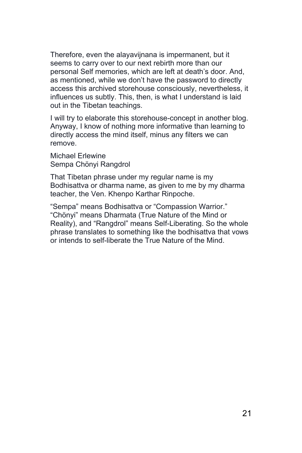Therefore, even the alayavijnana is impermanent, but it seems to carry over to our next rebirth more than our personal Self memories, which are left at death's door. And, as mentioned, while we don't have the password to directly access this archived storehouse consciously, nevertheless, it influences us subtly. This, then, is what I understand is laid out in the Tibetan teachings.

I will try to elaborate this storehouse-concept in another blog. Anyway, I know of nothing more informative than learning to directly access the mind itself, minus any filters we can remove.

Michael Erlewine Sempa Chönyi Rangdrol

That Tibetan phrase under my regular name is my Bodhisattva or dharma name, as given to me by my dharma teacher, the Ven. Khenpo Karthar Rinpoche.

"Sempa" means Bodhisattva or "Compassion Warrior." "Chönyi" means Dharmata (True Nature of the Mind or Reality), and "Rangdrol" means Self-Liberating. So the whole phrase translates to something like the bodhisattva that vows or intends to self-liberate the True Nature of the Mind.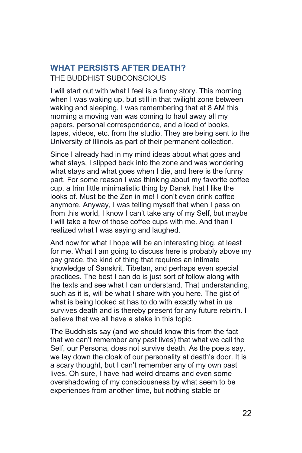# <span id="page-21-0"></span>**WHAT PERSISTS AFTER DEATH?**

THE BUDDHIST SUBCONSCIOUS

I will start out with what I feel is a funny story. This morning when I was waking up, but still in that twilight zone between waking and sleeping, I was remembering that at 8 AM this morning a moving van was coming to haul away all my papers, personal correspondence, and a load of books, tapes, videos, etc. from the studio. They are being sent to the University of Illinois as part of their permanent collection.

Since I already had in my mind ideas about what goes and what stays, I slipped back into the zone and was wondering what stays and what goes when I die, and here is the funny part. For some reason I was thinking about my favorite coffee cup, a trim little minimalistic thing by Dansk that I like the looks of. Must be the Zen in me! I don't even drink coffee anymore. Anyway, I was telling myself that when I pass on from this world, I know I can't take any of my Self, but maybe I will take a few of those coffee cups with me. And than I realized what I was saying and laughed.

And now for what I hope will be an interesting blog, at least for me. What I am going to discuss here is probably above my pay grade, the kind of thing that requires an intimate knowledge of Sanskrit, Tibetan, and perhaps even special practices. The best I can do is just sort of follow along with the texts and see what I can understand. That understanding, such as it is, will be what I share with you here. The gist of what is being looked at has to do with exactly what in us survives death and is thereby present for any future rebirth. I believe that we all have a stake in this topic.

The Buddhists say (and we should know this from the fact that we can't remember any past lives) that what we call the Self, our Persona, does not survive death. As the poets say, we lay down the cloak of our personality at death's door. It is a scary thought, but I can't remember any of my own past lives. Oh sure, I have had weird dreams and even some overshadowing of my consciousness by what seem to be experiences from another time, but nothing stable or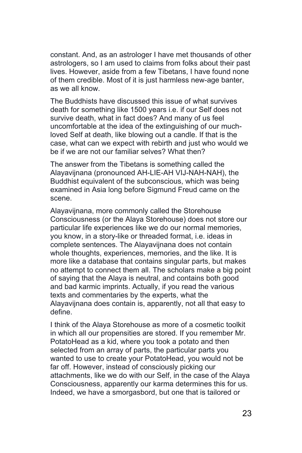constant. And, as an astrologer I have met thousands of other astrologers, so I am used to claims from folks about their past lives. However, aside from a few Tibetans, I have found none of them credible. Most of it is just harmless new-age banter, as we all know.

The Buddhists have discussed this issue of what survives death for something like 1500 years i.e. if our Self does not survive death, what in fact does? And many of us feel uncomfortable at the idea of the extinguishing of our muchloved Self at death, like blowing out a candle. If that is the case, what can we expect with rebirth and just who would we be if we are not our familiar selves? What then?

The answer from the Tibetans is something called the Alayavijnana (pronounced AH-LIE-AH VIJ-NAH-NAH), the Buddhist equivalent of the subconscious, which was being examined in Asia long before Sigmund Freud came on the scene.

Alayavijnana, more commonly called the Storehouse Consciousness (or the Alaya Storehouse) does not store our particular life experiences like we do our normal memories, you know, in a story-like or threaded format, i.e. ideas in complete sentences. The Alayavijnana does not contain whole thoughts, experiences, memories, and the like. It is more like a database that contains singular parts, but makes no attempt to connect them all. The scholars make a big point of saying that the Alaya is neutral, and contains both good and bad karmic imprints. Actually, if you read the various texts and commentaries by the experts, what the Alayavijnana does contain is, apparently, not all that easy to define.

I think of the Alaya Storehouse as more of a cosmetic toolkit in which all our propensities are stored. If you remember Mr. PotatoHead as a kid, where you took a potato and then selected from an array of parts, the particular parts you wanted to use to create your PotatoHead, you would not be far off. However, instead of consciously picking our attachments, like we do with our Self, in the case of the Alaya Consciousness, apparently our karma determines this for us. Indeed, we have a smorgasbord, but one that is tailored or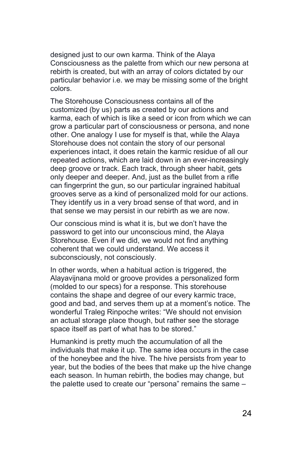designed just to our own karma. Think of the Alaya Consciousness as the palette from which our new persona at rebirth is created, but with an array of colors dictated by our particular behavior i.e. we may be missing some of the bright colors.

The Storehouse Consciousness contains all of the customized (by us) parts as created by our actions and karma, each of which is like a seed or icon from which we can grow a particular part of consciousness or persona, and none other. One analogy I use for myself is that, while the Alaya Storehouse does not contain the story of our personal experiences intact, it does retain the karmic residue of all our repeated actions, which are laid down in an ever-increasingly deep groove or track. Each track, through sheer habit, gets only deeper and deeper. And, just as the bullet from a rifle can fingerprint the gun, so our particular ingrained habitual grooves serve as a kind of personalized mold for our actions. They identify us in a very broad sense of that word, and in that sense we may persist in our rebirth as we are now.

Our conscious mind is what it is, but we don't have the password to get into our unconscious mind, the Alaya Storehouse. Even if we did, we would not find anything coherent that we could understand. We access it subconsciously, not consciously.

In other words, when a habitual action is triggered, the Alayavijnana mold or groove provides a personalized form (molded to our specs) for a response. This storehouse contains the shape and degree of our every karmic trace, good and bad, and serves them up at a moment's notice. The wonderful Traleg Rinpoche writes: "We should not envision an actual storage place though, but rather see the storage space itself as part of what has to be stored."

Humankind is pretty much the accumulation of all the individuals that make it up. The same idea occurs in the case of the honeybee and the hive. The hive persists from year to year, but the bodies of the bees that make up the hive change each season. In human rebirth, the bodies may change, but the palette used to create our "persona" remains the same –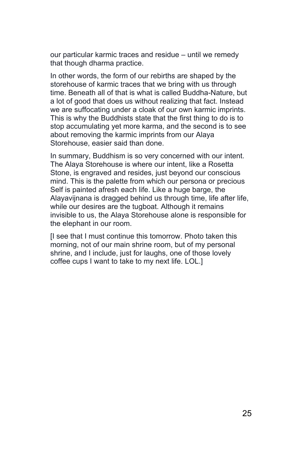our particular karmic traces and residue – until we remedy that though dharma practice.

In other words, the form of our rebirths are shaped by the storehouse of karmic traces that we bring with us through time. Beneath all of that is what is called Buddha-Nature, but a lot of good that does us without realizing that fact. Instead we are suffocating under a cloak of our own karmic imprints. This is why the Buddhists state that the first thing to do is to stop accumulating yet more karma, and the second is to see about removing the karmic imprints from our Alaya Storehouse, easier said than done.

In summary, Buddhism is so very concerned with our intent. The Alaya Storehouse is where our intent, like a Rosetta Stone, is engraved and resides, just beyond our conscious mind. This is the palette from which our persona or precious Self is painted afresh each life. Like a huge barge, the Alayavijnana is dragged behind us through time, life after life, while our desires are the tugboat. Although it remains invisible to us, the Alaya Storehouse alone is responsible for the elephant in our room.

[I see that I must continue this tomorrow. Photo taken this morning, not of our main shrine room, but of my personal shrine, and I include, just for laughs, one of those lovely coffee cups I want to take to my next life. LOL.]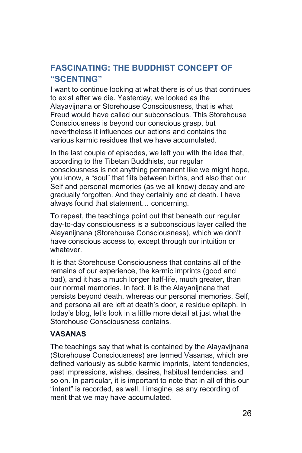## <span id="page-25-0"></span>**FASCINATING: THE BUDDHIST CONCEPT OF "SCENTING"**

I want to continue looking at what there is of us that continues to exist after we die. Yesterday, we looked as the Alayavijnana or Storehouse Consciousness, that is what Freud would have called our subconscious. This Storehouse Consciousness is beyond our conscious grasp, but nevertheless it influences our actions and contains the various karmic residues that we have accumulated.

In the last couple of episodes, we left you with the idea that, according to the Tibetan Buddhists, our regular consciousness is not anything permanent like we might hope, you know, a "soul" that flits between births, and also that our Self and personal memories (as we all know) decay and are gradually forgotten. And they certainly end at death. I have always found that statement… concerning.

To repeat, the teachings point out that beneath our regular day-to-day consciousness is a subconscious layer called the Alayanijnana (Storehouse Consciousness), which we don't have conscious access to, except through our intuition or whatever.

It is that Storehouse Consciousness that contains all of the remains of our experience, the karmic imprints (good and bad), and it has a much longer half-life, much greater, than our normal memories. In fact, it is the Alayanijnana that persists beyond death, whereas our personal memories, Self, and persona all are left at death's door, a residue epitaph. In today's blog, let's look in a little more detail at just what the Storehouse Consciousness contains.

#### **VASANAS**

The teachings say that what is contained by the Alayavijnana (Storehouse Consciousness) are termed Vasanas, which are defined variously as subtle karmic imprints, latent tendencies, past impressions, wishes, desires, habitual tendencies, and so on. In particular, it is important to note that in all of this our "intent" is recorded, as well, I imagine, as any recording of merit that we may have accumulated.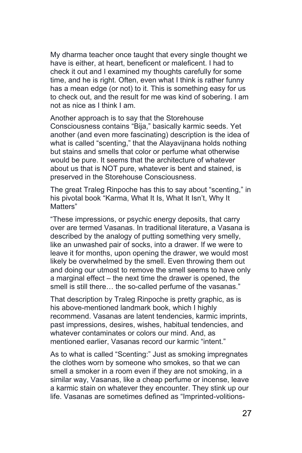My dharma teacher once taught that every single thought we have is either, at heart, beneficent or maleficent. I had to check it out and I examined my thoughts carefully for some time, and he is right. Often, even what I think is rather funny has a mean edge (or not) to it. This is something easy for us to check out, and the result for me was kind of sobering. I am not as nice as I think I am.

Another approach is to say that the Storehouse Consciousness contains "Bija," basically karmic seeds. Yet another (and even more fascinating) description is the idea of what is called "scenting," that the Alayavijnana holds nothing but stains and smells that color or perfume what otherwise would be pure. It seems that the architecture of whatever about us that is NOT pure, whatever is bent and stained, is preserved in the Storehouse Consciousness.

The great Traleg Rinpoche has this to say about "scenting," in his pivotal book "Karma, What It Is, What It Isn't, Why It Matters"

"These impressions, or psychic energy deposits, that carry over are termed Vasanas. In traditional literature, a Vasana is described by the analogy of putting something very smelly, like an unwashed pair of socks, into a drawer. If we were to leave it for months, upon opening the drawer, we would most likely be overwhelmed by the smell. Even throwing them out and doing our utmost to remove the smell seems to have only a marginal effect – the next time the drawer is opened, the smell is still there… the so-called perfume of the vasanas."

That description by Traleg Rinpoche is pretty graphic, as is his above-mentioned landmark book, which I highly recommend. Vasanas are latent tendencies, karmic imprints, past impressions, desires, wishes, habitual tendencies, and whatever contaminates or colors our mind. And, as mentioned earlier, Vasanas record our karmic "intent."

As to what is called "Scenting:" Just as smoking impregnates the clothes worn by someone who smokes, so that we can smell a smoker in a room even if they are not smoking, in a similar way, Vasanas, like a cheap perfume or incense, leave a karmic stain on whatever they encounter. They stink up our life. Vasanas are sometimes defined as "Imprinted-volitions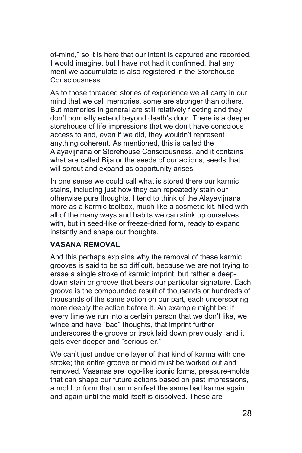of-mind," so it is here that our intent is captured and recorded. I would imagine, but I have not had it confirmed, that any merit we accumulate is also registered in the Storehouse Consciousness.

As to those threaded stories of experience we all carry in our mind that we call memories, some are stronger than others. But memories in general are still relatively fleeting and they don't normally extend beyond death's door. There is a deeper storehouse of life impressions that we don't have conscious access to and, even if we did, they wouldn't represent anything coherent. As mentioned, this is called the Alayavijnana or Storehouse Consciousness, and it contains what are called Bija or the seeds of our actions, seeds that will sprout and expand as opportunity arises.

In one sense we could call what is stored there our karmic stains, including just how they can repeatedly stain our otherwise pure thoughts. I tend to think of the Alayavijnana more as a karmic toolbox, much like a cosmetic kit, filled with all of the many ways and habits we can stink up ourselves with, but in seed-like or freeze-dried form, ready to expand instantly and shape our thoughts.

#### **VASANA REMOVAL**

And this perhaps explains why the removal of these karmic grooves is said to be so difficult, because we are not trying to erase a single stroke of karmic imprint, but rather a deepdown stain or groove that bears our particular signature. Each groove is the compounded result of thousands or hundreds of thousands of the same action on our part, each underscoring more deeply the action before it. An example might be: if every time we run into a certain person that we don't like, we wince and have "bad" thoughts, that imprint further underscores the groove or track laid down previously, and it gets ever deeper and "serious-er."

We can't just undue one layer of that kind of karma with one stroke; the entire groove or mold must be worked out and removed. Vasanas are logo-like iconic forms, pressure-molds that can shape our future actions based on past impressions, a mold or form that can manifest the same bad karma again and again until the mold itself is dissolved. These are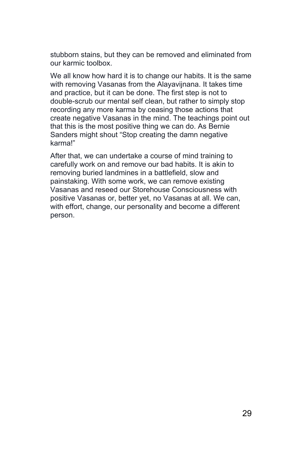stubborn stains, but they can be removed and eliminated from our karmic toolbox.

We all know how hard it is to change our habits. It is the same with removing Vasanas from the Alayavijnana. It takes time and practice, but it can be done. The first step is not to double-scrub our mental self clean, but rather to simply stop recording any more karma by ceasing those actions that create negative Vasanas in the mind. The teachings point out that this is the most positive thing we can do. As Bernie Sanders might shout "Stop creating the damn negative karma!"

After that, we can undertake a course of mind training to carefully work on and remove our bad habits. It is akin to removing buried landmines in a battlefield, slow and painstaking. With some work, we can remove existing Vasanas and reseed our Storehouse Consciousness with positive Vasanas or, better yet, no Vasanas at all. We can, with effort, change, our personality and become a different person.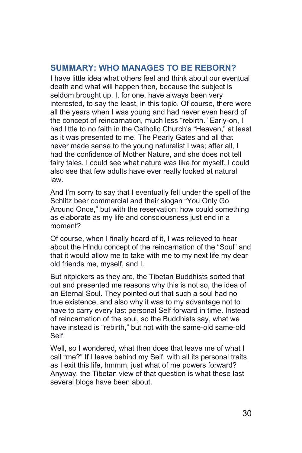#### <span id="page-29-0"></span>**SUMMARY: WHO MANAGES TO BE REBORN?**

I have little idea what others feel and think about our eventual death and what will happen then, because the subject is seldom brought up. I, for one, have always been very interested, to say the least, in this topic. Of course, there were all the years when I was young and had never even heard of the concept of reincarnation, much less "rebirth." Early-on, I had little to no faith in the Catholic Church's "Heaven," at least as it was presented to me. The Pearly Gates and all that never made sense to the young naturalist I was; after all, I had the confidence of Mother Nature, and she does not tell fairy tales. I could see what nature was like for myself. I could also see that few adults have ever really looked at natural law.

And I'm sorry to say that I eventually fell under the spell of the Schlitz beer commercial and their slogan "You Only Go Around Once," but with the reservation: how could something as elaborate as my life and consciousness just end in a moment?

Of course, when I finally heard of it, I was relieved to hear about the Hindu concept of the reincarnation of the "Soul" and that it would allow me to take with me to my next life my dear old friends me, myself, and I.

But nitpickers as they are, the Tibetan Buddhists sorted that out and presented me reasons why this is not so, the idea of an Eternal Soul. They pointed out that such a soul had no true existence, and also why it was to my advantage not to have to carry every last personal Self forward in time. Instead of reincarnation of the soul, so the Buddhists say, what we have instead is "rebirth," but not with the same-old same-old Self.

Well, so I wondered, what then does that leave me of what I call "me?" If I leave behind my Self, with all its personal traits, as I exit this life, hmmm, just what of me powers forward? Anyway, the Tibetan view of that question is what these last several blogs have been about.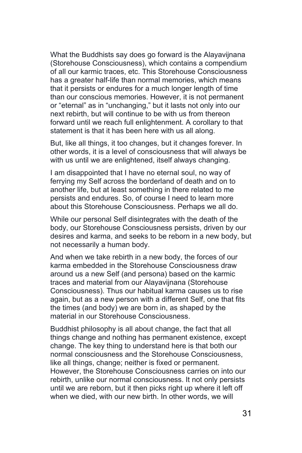What the Buddhists say does go forward is the Alayavijnana (Storehouse Consciousness), which contains a compendium of all our karmic traces, etc. This Storehouse Consciousness has a greater half-life than normal memories, which means that it persists or endures for a much longer length of time than our conscious memories. However, it is not permanent or "eternal" as in "unchanging," but it lasts not only into our next rebirth, but will continue to be with us from thereon forward until we reach full enlightenment. A corollary to that statement is that it has been here with us all along.

But, like all things, it too changes, but it changes forever. In other words, it is a level of consciousness that will always be with us until we are enlightened, itself always changing.

I am disappointed that I have no eternal soul, no way of ferrying my Self across the borderland of death and on to another life, but at least something in there related to me persists and endures. So, of course I need to learn more about this Storehouse Consciousness. Perhaps we all do.

While our personal Self disintegrates with the death of the body, our Storehouse Consciousness persists, driven by our desires and karma, and seeks to be reborn in a new body, but not necessarily a human body.

And when we take rebirth in a new body, the forces of our karma embedded in the Storehouse Consciousness draw around us a new Self (and persona) based on the karmic traces and material from our Alayavijnana (Storehouse Consciousness). Thus our habitual karma causes us to rise again, but as a new person with a different Self, one that fits the times (and body) we are born in, as shaped by the material in our Storehouse Consciousness.

Buddhist philosophy is all about change, the fact that all things change and nothing has permanent existence, except change. The key thing to understand here is that both our normal consciousness and the Storehouse Consciousness, like all things, change; neither is fixed or permanent. However, the Storehouse Consciousness carries on into our rebirth, unlike our normal consciousness. It not only persists until we are reborn, but it then picks right up where it left off when we died, with our new birth. In other words, we will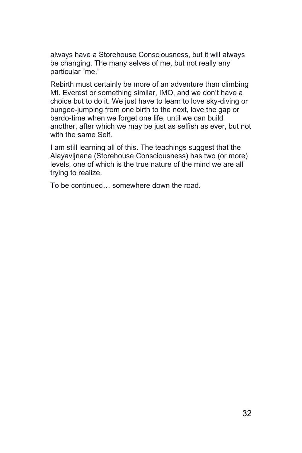always have a Storehouse Consciousness, but it will always be changing. The many selves of me, but not really any particular "me."

Rebirth must certainly be more of an adventure than climbing Mt. Everest or something similar, IMO, and we don't have a choice but to do it. We just have to learn to love sky-diving or bungee-jumping from one birth to the next, love the gap or bardo-time when we forget one life, until we can build another, after which we may be just as selfish as ever, but not with the same Self.

I am still learning all of this. The teachings suggest that the Alayavijnana (Storehouse Consciousness) has two (or more) levels, one of which is the true nature of the mind we are all trying to realize.

To be continued… somewhere down the road.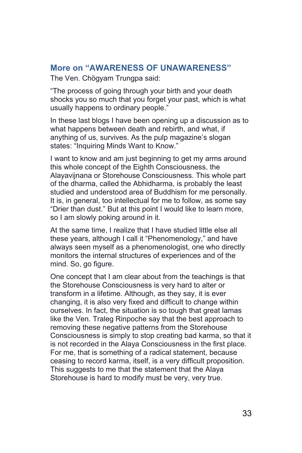#### <span id="page-32-0"></span>**More on "AWARENESS OF UNAWARENESS"**

The Ven. Chögyam Trungpa said:

"The process of going through your birth and your death shocks you so much that you forget your past, which is what usually happens to ordinary people."

In these last blogs I have been opening up a discussion as to what happens between death and rebirth, and what, if anything of us, survives. As the pulp magazine's slogan states: "Inquiring Minds Want to Know."

I want to know and am just beginning to get my arms around this whole concept of the Eighth Consciousness, the Alayavijnana or Storehouse Consciousness. This whole part of the dharma, called the Abhidharma, is probably the least studied and understood area of Buddhism for me personally. It is, in general, too intellectual for me to follow, as some say "Drier than dust." But at this point I would like to learn more, so I am slowly poking around in it.

At the same time, I realize that I have studied little else all these years, although I call it "Phenomenology," and have always seen myself as a phenomenologist, one who directly monitors the internal structures of experiences and of the mind. So, go figure.

One concept that I am clear about from the teachings is that the Storehouse Consciousness is very hard to alter or transform in a lifetime. Although, as they say, it is ever changing, it is also very fixed and difficult to change within ourselves. In fact, the situation is so tough that great lamas like the Ven. Traleg Rinpoche say that the best approach to removing these negative patterns from the Storehouse Consciousness is simply to stop creating bad karma, so that it is not recorded in the Alaya Consciousness in the first place. For me, that is something of a radical statement, because ceasing to record karma, itself, is a very difficult proposition. This suggests to me that the statement that the Alaya Storehouse is hard to modify must be very, very true.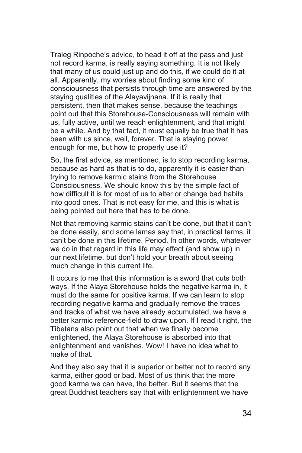Traleg Rinpoche's advice, to head it off at the pass and just not record karma, is really saying something. It is not likely that many of us could just up and do this, if we could do it at all. Apparently, my worries about finding some kind of consciousness that persists through time are answered by the staying qualities of the Alayavijnana. If it is really that persistent, then that makes sense, because the teachings point out that this Storehouse-Consciousness will remain with us, fully active, until we reach enlightenment, and that might be a while. And by that fact, it must equally be true that it has been with us since, well, forever. That is staying power enough for me, but how to properly use it?

So, the first advice, as mentioned, is to stop recording karma, because as hard as that is to do, apparently it is easier than trying to remove karmic stains from the Storehouse Consciousness. We should know this by the simple fact of how difficult it is for most of us to alter or change bad habits into good ones. That is not easy for me, and this is what is being pointed out here that has to be done.

Not that removing karmic stains can't be done, but that it can't be done easily, and some lamas say that, in practical terms, it can't be done in this lifetime. Period. In other words, whatever we do in that regard in this life may effect (and show up) in our next lifetime, but don't hold your breath about seeing much change in this current life.

It occurs to me that this information is a sword that cuts both ways. If the Alaya Storehouse holds the negative karma in, it must do the same for positive karma. If we can learn to stop recording negative karma and gradually remove the traces and tracks of what we have already accumulated, we have a better karmic reference-field to draw upon. If I read it right, the Tibetans also point out that when we finally become enlightened, the Alaya Storehouse is absorbed into that enlightenment and vanishes. Wow! I have no idea what to make of that.

And they also say that it is superior or better not to record any karma, either good or bad. Most of us think that the more good karma we can have, the better. But it seems that the great Buddhist teachers say that with enlightenment we have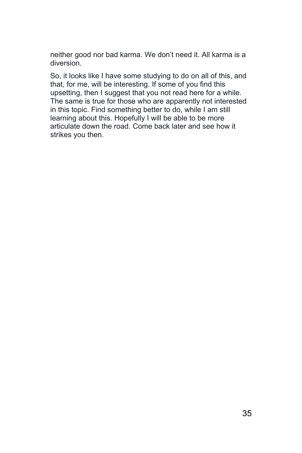neither good nor bad karma. We don't need it. All karma is a diversion.

So, it looks like I have some studying to do on all of this, and that, for me, will be interesting. If some of you find this upsetting, then I suggest that you not read here for a while. The same is true for those who are apparently not interested in this topic. Find something better to do, while I am still learning about this. Hopefully I will be able to be more articulate down the road. Come back later and see how it strikes you then.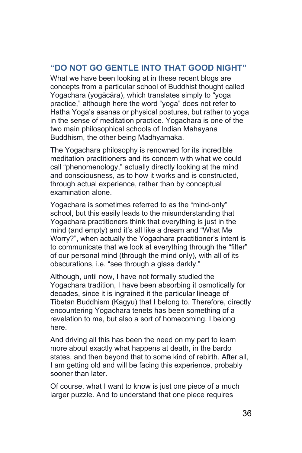#### <span id="page-35-0"></span>**"DO NOT GO GENTLE INTO THAT GOOD NIGHT"**

What we have been looking at in these recent blogs are concepts from a particular school of Buddhist thought called Yogachara (yogācāra), which translates simply to "yoga practice," although here the word "yoga" does not refer to Hatha Yoga's asanas or physical postures, but rather to yoga in the sense of meditation practice. Yogachara is one of the two main philosophical schools of Indian Mahayana Buddhism, the other being Madhyamaka.

The Yogachara philosophy is renowned for its incredible meditation practitioners and its concern with what we could call "phenomenology," actually directly looking at the mind and consciousness, as to how it works and is constructed, through actual experience, rather than by conceptual examination alone.

Yogachara is sometimes referred to as the "mind-only" school, but this easily leads to the misunderstanding that Yogachara practitioners think that everything is just in the mind (and empty) and it's all like a dream and "What Me Worry?", when actually the Yogachara practitioner's intent is to communicate that we look at everything through the "filter" of our personal mind (through the mind only), with all of its obscurations, i.e. "see through a glass darkly."

Although, until now, I have not formally studied the Yogachara tradition, I have been absorbing it osmotically for decades, since it is ingrained it the particular lineage of Tibetan Buddhism (Kagyu) that I belong to. Therefore, directly encountering Yogachara tenets has been something of a revelation to me, but also a sort of homecoming. I belong here.

And driving all this has been the need on my part to learn more about exactly what happens at death, in the bardo states, and then beyond that to some kind of rebirth. After all, I am getting old and will be facing this experience, probably sooner than later.

Of course, what I want to know is just one piece of a much larger puzzle. And to understand that one piece requires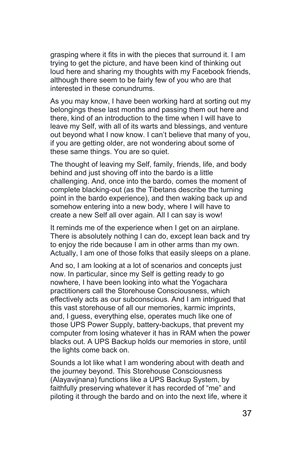grasping where it fits in with the pieces that surround it. I am trying to get the picture, and have been kind of thinking out loud here and sharing my thoughts with my Facebook friends, although there seem to be fairly few of you who are that interested in these conundrums.

As you may know, I have been working hard at sorting out my belongings these last months and passing them out here and there, kind of an introduction to the time when I will have to leave my Self, with all of its warts and blessings, and venture out beyond what I now know. I can't believe that many of you, if you are getting older, are not wondering about some of these same things. You are so quiet.

The thought of leaving my Self, family, friends, life, and body behind and just shoving off into the bardo is a little challenging. And, once into the bardo, comes the moment of complete blacking-out (as the Tibetans describe the turning point in the bardo experience), and then waking back up and somehow entering into a new body, where I will have to create a new Self all over again. All I can say is wow!

It reminds me of the experience when I get on an airplane. There is absolutely nothing I can do, except lean back and try to enjoy the ride because I am in other arms than my own. Actually, I am one of those folks that easily sleeps on a plane.

And so, I am looking at a lot of scenarios and concepts just now. In particular, since my Self is getting ready to go nowhere, I have been looking into what the Yogachara practitioners call the Storehouse Consciousness, which effectively acts as our subconscious. And I am intrigued that this vast storehouse of all our memories, karmic imprints, and, I guess, everything else, operates much like one of those UPS Power Supply, battery-backups, that prevent my computer from losing whatever it has in RAM when the power blacks out. A UPS Backup holds our memories in store, until the lights come back on.

Sounds a lot like what I am wondering about with death and the journey beyond. This Storehouse Consciousness (Alayavijnana) functions like a UPS Backup System, by faithfully preserving whatever it has recorded of "me" and piloting it through the bardo and on into the next life, where it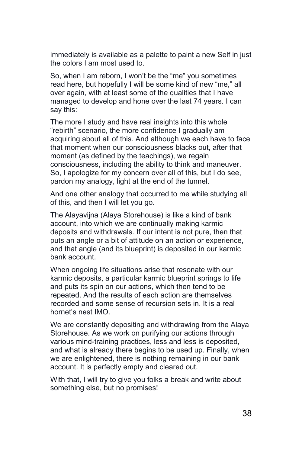immediately is available as a palette to paint a new Self in just the colors I am most used to.

So, when I am reborn, I won't be the "me" you sometimes read here, but hopefully I will be some kind of new "me," all over again, with at least some of the qualities that I have managed to develop and hone over the last 74 years. I can say this:

The more I study and have real insights into this whole "rebirth" scenario, the more confidence I gradually am acquiring about all of this. And although we each have to face that moment when our consciousness blacks out, after that moment (as defined by the teachings), we regain consciousness, including the ability to think and maneuver. So, I apologize for my concern over all of this, but I do see, pardon my analogy, light at the end of the tunnel.

And one other analogy that occurred to me while studying all of this, and then I will let you go.

The Alayavijna (Alaya Storehouse) is like a kind of bank account, into which we are continually making karmic deposits and withdrawals. If our intent is not pure, then that puts an angle or a bit of attitude on an action or experience, and that angle (and its blueprint) is deposited in our karmic bank account.

When ongoing life situations arise that resonate with our karmic deposits, a particular karmic blueprint springs to life and puts its spin on our actions, which then tend to be repeated. And the results of each action are themselves recorded and some sense of recursion sets in. It is a real hornet's nest IMO.

We are constantly depositing and withdrawing from the Alaya Storehouse. As we work on purifying our actions through various mind-training practices, less and less is deposited, and what is already there begins to be used up. Finally, when we are enlightened, there is nothing remaining in our bank account. It is perfectly empty and cleared out.

With that, I will try to give you folks a break and write about something else, but no promises!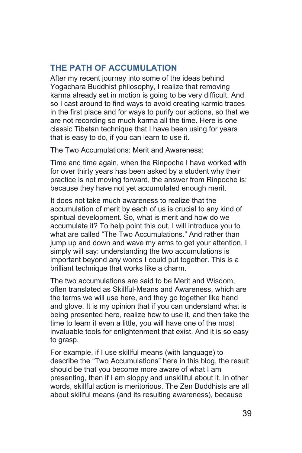# **THE PATH OF ACCUMULATION**

After my recent journey into some of the ideas behind Yogachara Buddhist philosophy, I realize that removing karma already set in motion is going to be very difficult. And so I cast around to find ways to avoid creating karmic traces in the first place and for ways to purify our actions, so that we are not recording so much karma all the time. Here is one classic Tibetan technique that I have been using for years that is easy to do, if you can learn to use it.

The Two Accumulations: Merit and Awareness:

Time and time again, when the Rinpoche I have worked with for over thirty years has been asked by a student why their practice is not moving forward, the answer from Rinpoche is: because they have not yet accumulated enough merit.

It does not take much awareness to realize that the accumulation of merit by each of us is crucial to any kind of spiritual development. So, what is merit and how do we accumulate it? To help point this out, I will introduce you to what are called "The Two Accumulations." And rather than jump up and down and wave my arms to get your attention, I simply will say: understanding the two accumulations is important beyond any words I could put together. This is a brilliant technique that works like a charm.

The two accumulations are said to be Merit and Wisdom, often translated as Skillful-Means and Awareness, which are the terms we will use here, and they go together like hand and glove. It is my opinion that if you can understand what is being presented here, realize how to use it, and then take the time to learn it even a little, you will have one of the most invaluable tools for enlightenment that exist. And it is so easy to grasp.

For example, if I use skillful means (with language) to describe the "Two Accumulations" here in this blog, the result should be that you become more aware of what I am presenting, than if I am sloppy and unskillful about it. In other words, skillful action is meritorious. The Zen Buddhists are all about skillful means (and its resulting awareness), because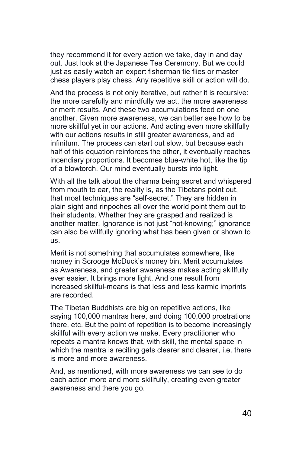they recommend it for every action we take, day in and day out. Just look at the Japanese Tea Ceremony. But we could just as easily watch an expert fisherman tie flies or master chess players play chess. Any repetitive skill or action will do.

And the process is not only iterative, but rather it is recursive: the more carefully and mindfully we act, the more awareness or merit results. And these two accumulations feed on one another. Given more awareness, we can better see how to be more skillful yet in our actions. And acting even more skillfully with our actions results in still greater awareness, and ad infinitum. The process can start out slow, but because each half of this equation reinforces the other, it eventually reaches incendiary proportions. It becomes blue-white hot, like the tip of a blowtorch. Our mind eventually bursts into light.

With all the talk about the dharma being secret and whispered from mouth to ear, the reality is, as the Tibetans point out, that most techniques are "self-secret." They are hidden in plain sight and rinpoches all over the world point them out to their students. Whether they are grasped and realized is another matter. Ignorance is not just "not-knowing;" ignorance can also be willfully ignoring what has been given or shown to us.

Merit is not something that accumulates somewhere, like money in Scrooge McDuck's money bin. Merit accumulates as Awareness, and greater awareness makes acting skillfully ever easier. It brings more light. And one result from increased skillful-means is that less and less karmic imprints are recorded.

The Tibetan Buddhists are big on repetitive actions, like saying 100,000 mantras here, and doing 100,000 prostrations there, etc. But the point of repetition is to become increasingly skillful with every action we make. Every practitioner who repeats a mantra knows that, with skill, the mental space in which the mantra is reciting gets clearer and clearer, i.e. there is more and more awareness.

And, as mentioned, with more awareness we can see to do each action more and more skillfully, creating even greater awareness and there you go.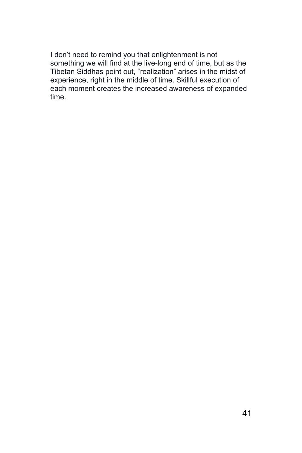I don't need to remind you that enlightenment is not something we will find at the live-long end of time, but as the Tibetan Siddhas point out, "realization" arises in the midst of experience, right in the middle of time. Skillful execution of each moment creates the increased awareness of expanded time.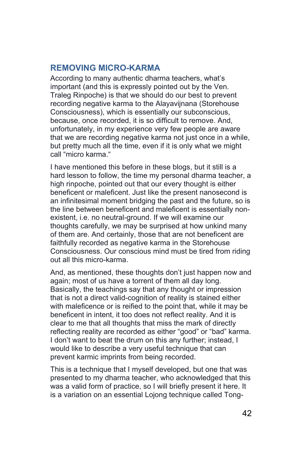# **REMOVING MICRO-KARMA**

According to many authentic dharma teachers, what's important (and this is expressly pointed out by the Ven. Traleg Rinpoche) is that we should do our best to prevent recording negative karma to the Alayavijnana (Storehouse Consciousness), which is essentially our subconscious, because, once recorded, it is so difficult to remove. And, unfortunately, in my experience very few people are aware that we are recording negative karma not just once in a while, but pretty much all the time, even if it is only what we might call "micro karma."

I have mentioned this before in these blogs, but it still is a hard lesson to follow, the time my personal dharma teacher, a high rinpoche, pointed out that our every thought is either beneficent or maleficent. Just like the present nanosecond is an infinitesimal moment bridging the past and the future, so is the line between beneficent and maleficent is essentially nonexistent, i.e. no neutral-ground. If we will examine our thoughts carefully, we may be surprised at how unkind many of them are. And certainly, those that are not beneficent are faithfully recorded as negative karma in the Storehouse Consciousness. Our conscious mind must be tired from riding out all this micro-karma.

And, as mentioned, these thoughts don't just happen now and again; most of us have a torrent of them all day long. Basically, the teachings say that any thought or impression that is not a direct valid-cognition of reality is stained either with maleficence or is reified to the point that, while it may be beneficent in intent, it too does not reflect reality. And it is clear to me that all thoughts that miss the mark of directly reflecting reality are recorded as either "good" or "bad" karma. I don't want to beat the drum on this any further; instead, I would like to describe a very useful technique that can prevent karmic imprints from being recorded.

This is a technique that I myself developed, but one that was presented to my dharma teacher, who acknowledged that this was a valid form of practice, so I will briefly present it here. It is a variation on an essential Lojong technique called Tong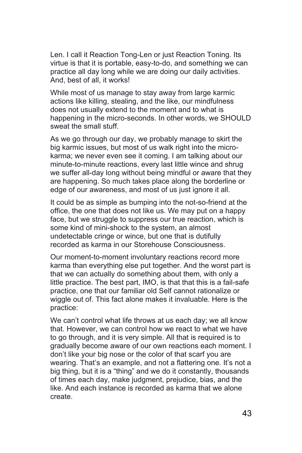Len. I call it Reaction Tong-Len or just Reaction Toning. Its virtue is that it is portable, easy-to-do, and something we can practice all day long while we are doing our daily activities. And, best of all, it works!

While most of us manage to stay away from large karmic actions like killing, stealing, and the like, our mindfulness does not usually extend to the moment and to what is happening in the micro-seconds. In other words, we SHOULD sweat the small stuff.

As we go through our day, we probably manage to skirt the big karmic issues, but most of us walk right into the microkarma; we never even see it coming. I am talking about our minute-to-minute reactions, every last little wince and shrug we suffer all-day long without being mindful or aware that they are happening. So much takes place along the borderline or edge of our awareness, and most of us just ignore it all.

It could be as simple as bumping into the not-so-friend at the office, the one that does not like us. We may put on a happy face, but we struggle to suppress our true reaction, which is some kind of mini-shock to the system, an almost undetectable cringe or wince, but one that is dutifully recorded as karma in our Storehouse Consciousness.

Our moment-to-moment involuntary reactions record more karma than everything else put together. And the worst part is that we can actually do something about them, with only a little practice. The best part, IMO, is that that this is a fail-safe practice, one that our familiar old Self cannot rationalize or wiggle out of. This fact alone makes it invaluable. Here is the practice:

We can't control what life throws at us each day; we all know that. However, we can control how we react to what we have to go through, and it is very simple. All that is required is to gradually become aware of our own reactions each moment. I don't like your big nose or the color of that scarf you are wearing. That's an example, and not a flattering one. It's not a big thing, but it is a "thing" and we do it constantly, thousands of times each day, make judgment, prejudice, bias, and the like. And each instance is recorded as karma that we alone create.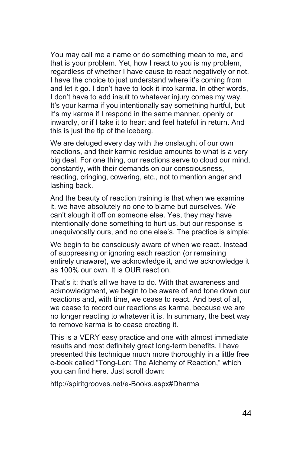You may call me a name or do something mean to me, and that is your problem. Yet, how I react to you is my problem, regardless of whether I have cause to react negatively or not. I have the choice to just understand where it's coming from and let it go. I don't have to lock it into karma. In other words, I don't have to add insult to whatever injury comes my way. It's your karma if you intentionally say something hurtful, but it's my karma if I respond in the same manner, openly or inwardly, or if I take it to heart and feel hateful in return. And this is just the tip of the iceberg.

We are deluged every day with the onslaught of our own reactions, and their karmic residue amounts to what is a very big deal. For one thing, our reactions serve to cloud our mind, constantly, with their demands on our consciousness, reacting, cringing, cowering, etc., not to mention anger and lashing back.

And the beauty of reaction training is that when we examine it, we have absolutely no one to blame but ourselves. We can't slough it off on someone else. Yes, they may have intentionally done something to hurt us, but our response is unequivocally ours, and no one else's. The practice is simple:

We begin to be consciously aware of when we react. Instead of suppressing or ignoring each reaction (or remaining entirely unaware), we acknowledge it, and we acknowledge it as 100% our own. It is OUR reaction.

That's it; that's all we have to do. With that awareness and acknowledgment, we begin to be aware of and tone down our reactions and, with time, we cease to react. And best of all, we cease to record our reactions as karma, because we are no longer reacting to whatever it is. In summary, the best way to remove karma is to cease creating it.

This is a VERY easy practice and one with almost immediate results and most definitely great long-term benefits. I have presented this technique much more thoroughly in a little free e-book called "Tong-Len: The Alchemy of Reaction," which you can find here. Just scroll down:

http://spiritgrooves.net/e-Books.aspx#Dharma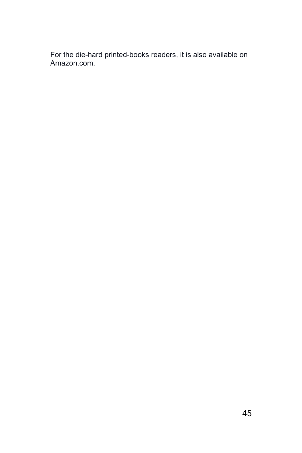For the die-hard printed-books readers, it is also available on Amazon.com.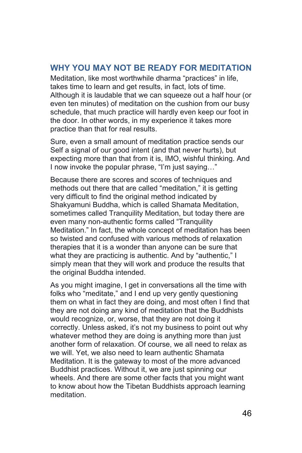#### **WHY YOU MAY NOT BE READY FOR MEDITATION**

Meditation, like most worthwhile dharma "practices" in life, takes time to learn and get results, in fact, lots of time. Although it is laudable that we can squeeze out a half hour (or even ten minutes) of meditation on the cushion from our busy schedule, that much practice will hardly even keep our foot in the door. In other words, in my experience it takes more practice than that for real results.

Sure, even a small amount of meditation practice sends our Self a signal of our good intent (and that never hurts), but expecting more than that from it is, IMO, wishful thinking. And I now invoke the popular phrase, "I'm just saying…"

Because there are scores and scores of techniques and methods out there that are called "meditation," it is getting very difficult to find the original method indicated by Shakyamuni Buddha, which is called Shamata Meditation, sometimes called Tranquility Meditation, but today there are even many non-authentic forms called "Tranquility Meditation." In fact, the whole concept of meditation has been so twisted and confused with various methods of relaxation therapies that it is a wonder than anyone can be sure that what they are practicing is authentic. And by "authentic," I simply mean that they will work and produce the results that the original Buddha intended.

As you might imagine, I get in conversations all the time with folks who "meditate," and I end up very gently questioning them on what in fact they are doing, and most often I find that they are not doing any kind of meditation that the Buddhists would recognize, or, worse, that they are not doing it correctly. Unless asked, it's not my business to point out why whatever method they are doing is anything more than just another form of relaxation. Of course, we all need to relax as we will. Yet, we also need to learn authentic Shamata Meditation. It is the gateway to most of the more advanced Buddhist practices. Without it, we are just spinning our wheels. And there are some other facts that you might want to know about how the Tibetan Buddhists approach learning meditation.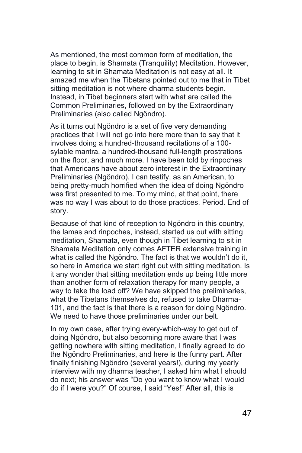As mentioned, the most common form of meditation, the place to begin, is Shamata (Tranquility) Meditation. However, learning to sit in Shamata Meditation is not easy at all. It amazed me when the Tibetans pointed out to me that in Tibet sitting meditation is not where dharma students begin. Instead, in Tibet beginners start with what are called the Common Preliminaries, followed on by the Extraordinary Preliminaries (also called Ngöndro).

As it turns out Ngöndro is a set of five very demanding practices that I will not go into here more than to say that it involves doing a hundred-thousand recitations of a 100 sylable mantra, a hundred-thousand full-length prostrations on the floor, and much more. I have been told by rinpoches that Americans have about zero interest in the Extraordinary Preliminaries (Ngöndro). I can testify, as an American, to being pretty-much horrified when the idea of doing Ngöndro was first presented to me. To my mind, at that point, there was no way I was about to do those practices. Period. End of story.

Because of that kind of reception to Ngöndro in this country, the lamas and rinpoches, instead, started us out with sitting meditation, Shamata, even though in Tibet learning to sit in Shamata Meditation only comes AFTER extensive training in what is called the Ngöndro. The fact is that we wouldn't do it, so here in America we start right out with sitting meditation. Is it any wonder that sitting meditation ends up being little more than another form of relaxation therapy for many people, a way to take the load off? We have skipped the preliminaries, what the Tibetans themselves do, refused to take Dharma-101, and the fact is that there is a reason for doing Ngöndro. We need to have those preliminaries under our belt.

In my own case, after trying every-which-way to get out of doing Ngöndro, but also becoming more aware that I was getting nowhere with sitting meditation, I finally agreed to do the Ngöndro Preliminaries, and here is the funny part. After finally finishing Ngöndro (several years!), during my yearly interview with my dharma teacher, I asked him what I should do next; his answer was "Do you want to know what I would do if I were you?" Of course, I said "Yes!" After all, this is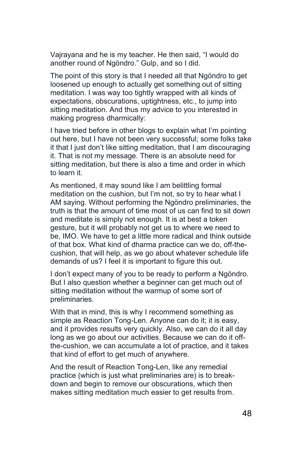Vajrayana and he is my teacher. He then said, "I would do another round of Ngöndro." Gulp, and so I did.

The point of this story is that I needed all that Ngöndro to get loosened up enough to actually get something out of sitting meditation. I was way too tightly wrapped with all kinds of expectations, obscurations, uptightness, etc., to jump into sitting meditation. And thus my advice to you interested in making progress dharmically:

I have tried before in other blogs to explain what I'm pointing out here, but I have not been very successful; some folks take it that I just don't like sitting meditation, that I am discouraging it. That is not my message. There is an absolute need for sitting meditation, but there is also a time and order in which to learn it.

As mentioned, it may sound like I am belittling formal meditation on the cushion, but I'm not, so try to hear what I AM saying. Without performing the Ngöndro preliminaries, the truth is that the amount of time most of us can find to sit down and meditate is simply not enough. It is at best a token gesture, but it will probably not get us to where we need to be, IMO. We have to get a little more radical and think outside of that box. What kind of dharma practice can we do, off-thecushion, that will help, as we go about whatever schedule life demands of us? I feel it is important to figure this out.

I don't expect many of you to be ready to perform a Ngöndro. But I also question whether a beginner can get much out of sitting meditation without the warmup of some sort of preliminaries.

With that in mind, this is why I recommend something as simple as Reaction Tong-Len. Anyone can do it; it is easy, and it provides results very quickly. Also, we can do it all day long as we go about our activities. Because we can do it offthe-cushion, we can accumulate a lot of practice, and it takes that kind of effort to get much of anywhere.

And the result of Reaction Tong-Len, like any remedial practice (which is just what preliminaries are) is to breakdown and begin to remove our obscurations, which then makes sitting meditation much easier to get results from.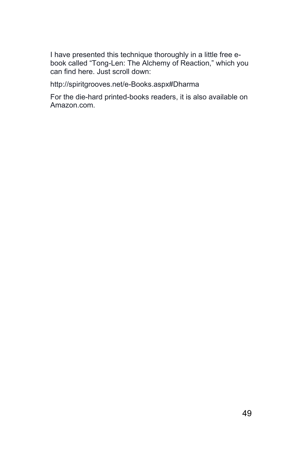I have presented this technique thoroughly in a little free ebook called "Tong-Len: The Alchemy of Reaction," which you can find here. Just scroll down:

http://spiritgrooves.net/e-Books.aspx#Dharma

For the die-hard printed-books readers, it is also available on Amazon.com.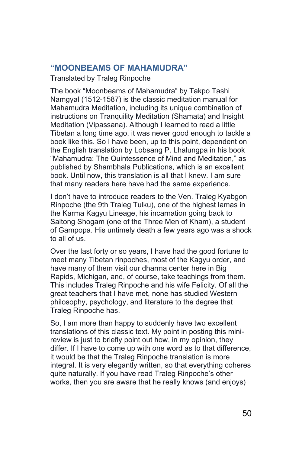#### **"MOONBEAMS OF MAHAMUDRA"**

Translated by Traleg Rinpoche

The book "Moonbeams of Mahamudra" by Takpo Tashi Namgyal (1512-1587) is the classic meditation manual for Mahamudra Meditation, including its unique combination of instructions on Tranquility Meditation (Shamata) and Insight Meditation (Vipassana). Although I learned to read a little Tibetan a long time ago, it was never good enough to tackle a book like this. So I have been, up to this point, dependent on the English translation by Lobsang P. Lhalungpa in his book "Mahamudra: The Quintessence of Mind and Meditation," as published by Shambhala Publications, which is an excellent book. Until now, this translation is all that I knew. I am sure that many readers here have had the same experience.

I don't have to introduce readers to the Ven. Traleg Kyabgon Rinpoche (the 9th Traleg Tulku), one of the highest lamas in the Karma Kagyu Lineage, his incarnation going back to Saltong Shogam (one of the Three Men of Kham), a student of Gampopa. His untimely death a few years ago was a shock to all of us.

Over the last forty or so years, I have had the good fortune to meet many Tibetan rinpoches, most of the Kagyu order, and have many of them visit our dharma center here in Big Rapids, Michigan, and, of course, take teachings from them. This includes Traleg Rinpoche and his wife Felicity. Of all the great teachers that I have met, none has studied Western philosophy, psychology, and literature to the degree that Traleg Rinpoche has.

So, I am more than happy to suddenly have two excellent translations of this classic text. My point in posting this minireview is just to briefly point out how, in my opinion, they differ. If I have to come up with one word as to that difference, it would be that the Traleg Rinpoche translation is more integral. It is very elegantly written, so that everything coheres quite naturally. If you have read Traleg Rinpoche's other works, then you are aware that he really knows (and enjoys)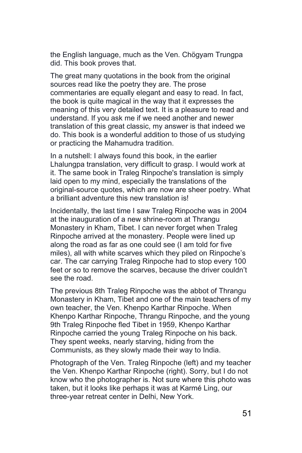the English language, much as the Ven. Chögyam Trungpa did. This book proves that.

The great many quotations in the book from the original sources read like the poetry they are. The prose commentaries are equally elegant and easy to read. In fact, the book is quite magical in the way that it expresses the meaning of this very detailed text. It is a pleasure to read and understand. If you ask me if we need another and newer translation of this great classic, my answer is that indeed we do. This book is a wonderful addition to those of us studying or practicing the Mahamudra tradition.

In a nutshell: I always found this book, in the earlier Lhalungpa translation, very difficult to grasp. I would work at it. The same book in Traleg Rinpoche's translation is simply laid open to my mind, especially the translations of the original-source quotes, which are now are sheer poetry. What a brilliant adventure this new translation is!

Incidentally, the last time I saw Traleg Rinpoche was in 2004 at the inauguration of a new shrine-room at Thrangu Monastery in Kham, Tibet. I can never forget when Traleg Rinpoche arrived at the monastery. People were lined up along the road as far as one could see (I am told for five miles), all with white scarves which they piled on Rinpoche's car. The car carrying Traleg Rinpoche had to stop every 100 feet or so to remove the scarves, because the driver couldn't see the road.

The previous 8th Traleg Rinpoche was the abbot of Thrangu Monastery in Kham, Tibet and one of the main teachers of my own teacher, the Ven. Khenpo Karthar Rinpoche. When Khenpo Karthar Rinpoche, Thrangu Rinpoche, and the young 9th Traleg Rinpoche fled Tibet in 1959, Khenpo Karthar Rinpoche carried the young Traleg Rinpoche on his back. They spent weeks, nearly starving, hiding from the Communists, as they slowly made their way to India.

Photograph of the Ven. Traleg Rinpoche (left) and my teacher the Ven. Khenpo Karthar Rinpoche (right). Sorry, but I do not know who the photographer is. Not sure where this photo was taken, but it looks like perhaps it was at Karmé Ling, our three-year retreat center in Delhi, New York.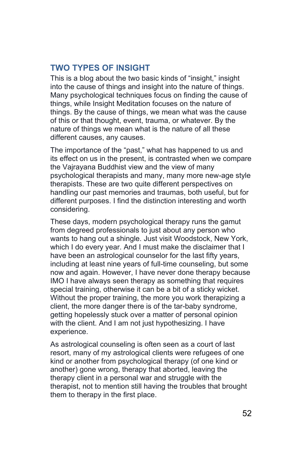# **TWO TYPES OF INSIGHT**

This is a blog about the two basic kinds of "insight," insight into the cause of things and insight into the nature of things. Many psychological techniques focus on finding the cause of things, while Insight Meditation focuses on the nature of things. By the cause of things, we mean what was the cause of this or that thought, event, trauma, or whatever. By the nature of things we mean what is the nature of all these different causes, any causes.

The importance of the "past," what has happened to us and its effect on us in the present, is contrasted when we compare the Vajrayana Buddhist view and the view of many psychological therapists and many, many more new-age style therapists. These are two quite different perspectives on handling our past memories and traumas, both useful, but for different purposes. I find the distinction interesting and worth considering.

These days, modern psychological therapy runs the gamut from degreed professionals to just about any person who wants to hang out a shingle. Just visit Woodstock, New York, which I do every year. And I must make the disclaimer that I have been an astrological counselor for the last fifty years, including at least nine years of full-time counseling, but some now and again. However, I have never done therapy because IMO I have always seen therapy as something that requires special training, otherwise it can be a bit of a sticky wicket. Without the proper training, the more you work therapizing a client, the more danger there is of the tar-baby syndrome, getting hopelessly stuck over a matter of personal opinion with the client. And I am not just hypothesizing. I have experience.

As astrological counseling is often seen as a court of last resort, many of my astrological clients were refugees of one kind or another from psychological therapy (of one kind or another) gone wrong, therapy that aborted, leaving the therapy client in a personal war and struggle with the therapist, not to mention still having the troubles that brought them to therapy in the first place.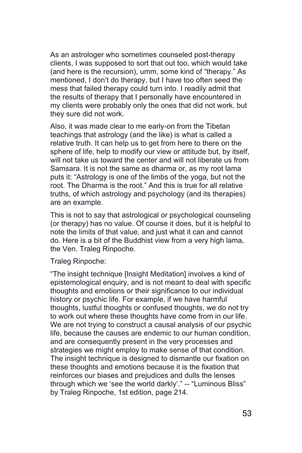As an astrologer who sometimes counseled post-therapy clients, I was supposed to sort that out too, which would take (and here is the recursion), umm, some kind of "therapy." As mentioned, I don't do therapy, but I have too often seed the mess that failed therapy could turn into. I readily admit that the results of therapy that I personally have encountered in my clients were probably only the ones that did not work, but they sure did not work.

Also, it was made clear to me early-on from the Tibetan teachings that astrology (and the like) is what is called a relative truth. It can help us to get from here to there on the sphere of life, help to modify our view or attitude but, by itself, will not take us toward the center and will not liberate us from Samsara. It is not the same as dharma or, as my root lama puts it: "Astrology is one of the limbs of the yoga, but not the root. The Dharma is the root." And this is true for all relative truths, of which astrology and psychology (and its therapies) are an example.

This is not to say that astrological or psychological counseling (or therapy) has no value. Of course it does, but it is helpful to note the limits of that value, and just what it can and cannot do. Here is a bit of the Buddhist view from a very high lama, the Ven. Traleg Rinpoche.

Traleg Rinpoche:

"The insight technique [Insight Meditation] involves a kind of epistemological enquiry, and is not meant to deal with specific thoughts and emotions or their significance to our individual history or psychic life. For example, if we have harmful thoughts, lustful thoughts or confused thoughts, we do not try to work out where these thoughts have come from in our life. We are not trying to construct a causal analysis of our psychic life, because the causes are endemic to our human condition, and are consequently present in the very processes and strategies we might employ to make sense of that condition. The insight technique is designed to dismantle our fixation on these thoughts and emotions because it is the fixation that reinforces our biases and prejudices and dulls the lenses through which we 'see the world darkly'." -- "Luminous Bliss" by Traleg Rinpoche, 1st edition, page 214.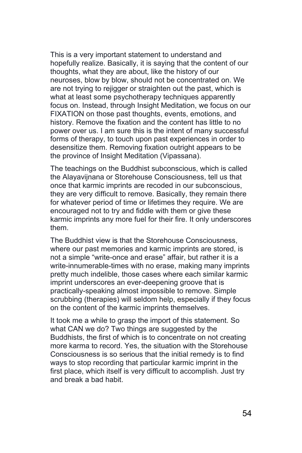This is a very important statement to understand and hopefully realize. Basically, it is saying that the content of our thoughts, what they are about, like the history of our neuroses, blow by blow, should not be concentrated on. We are not trying to rejigger or straighten out the past, which is what at least some psychotherapy techniques apparently focus on. Instead, through Insight Meditation, we focus on our FIXATION on those past thoughts, events, emotions, and history. Remove the fixation and the content has little to no power over us. I am sure this is the intent of many successful forms of therapy, to touch upon past experiences in order to desensitize them. Removing fixation outright appears to be the province of Insight Meditation (Vipassana).

The teachings on the Buddhist subconscious, which is called the Alayavijnana or Storehouse Consciousness, tell us that once that karmic imprints are recoded in our subconscious, they are very difficult to remove. Basically, they remain there for whatever period of time or lifetimes they require. We are encouraged not to try and fiddle with them or give these karmic imprints any more fuel for their fire. It only underscores them.

The Buddhist view is that the Storehouse Consciousness, where our past memories and karmic imprints are stored, is not a simple "write-once and erase" affair, but rather it is a write-innumerable-times with no erase, making many imprints pretty much indelible, those cases where each similar karmic imprint underscores an ever-deepening groove that is practically-speaking almost impossible to remove. Simple scrubbing (therapies) will seldom help, especially if they focus on the content of the karmic imprints themselves.

It took me a while to grasp the import of this statement. So what CAN we do? Two things are suggested by the Buddhists, the first of which is to concentrate on not creating more karma to record. Yes, the situation with the Storehouse Consciousness is so serious that the initial remedy is to find ways to stop recording that particular karmic imprint in the first place, which itself is very difficult to accomplish. Just try and break a bad habit.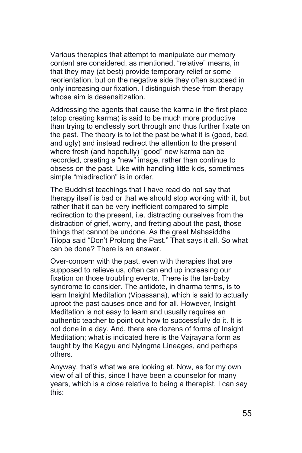Various therapies that attempt to manipulate our memory content are considered, as mentioned, "relative" means, in that they may (at best) provide temporary relief or some reorientation, but on the negative side they often succeed in only increasing our fixation. I distinguish these from therapy whose aim is desensitization.

Addressing the agents that cause the karma in the first place (stop creating karma) is said to be much more productive than trying to endlessly sort through and thus further fixate on the past. The theory is to let the past be what it is (good, bad, and ugly) and instead redirect the attention to the present where fresh (and hopefully) "good" new karma can be recorded, creating a "new" image, rather than continue to obsess on the past. Like with handling little kids, sometimes simple "misdirection" is in order.

The Buddhist teachings that I have read do not say that therapy itself is bad or that we should stop working with it, but rather that it can be very inefficient compared to simple redirection to the present, i.e. distracting ourselves from the distraction of grief, worry, and fretting about the past, those things that cannot be undone. As the great Mahasiddha Tilopa said "Don't Prolong the Past." That says it all. So what can be done? There is an answer.

Over-concern with the past, even with therapies that are supposed to relieve us, often can end up increasing our fixation on those troubling events. There is the tar-baby syndrome to consider. The antidote, in dharma terms, is to learn Insight Meditation (Vipassana), which is said to actually uproot the past causes once and for all. However, Insight Meditation is not easy to learn and usually requires an authentic teacher to point out how to successfully do it. It is not done in a day. And, there are dozens of forms of Insight Meditation; what is indicated here is the Vajrayana form as taught by the Kagyu and Nyingma Lineages, and perhaps others.

Anyway, that's what we are looking at. Now, as for my own view of all of this, since I have been a counselor for many years, which is a close relative to being a therapist, I can say this: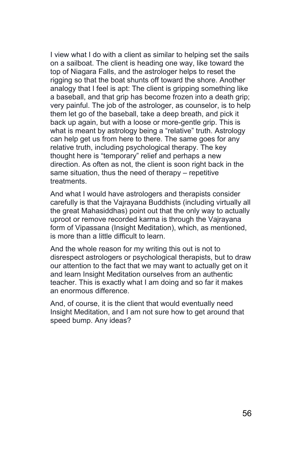I view what I do with a client as similar to helping set the sails on a sailboat. The client is heading one way, like toward the top of Niagara Falls, and the astrologer helps to reset the rigging so that the boat shunts off toward the shore. Another analogy that I feel is apt: The client is gripping something like a baseball, and that grip has become frozen into a death grip; very painful. The job of the astrologer, as counselor, is to help them let go of the baseball, take a deep breath, and pick it back up again, but with a loose or more-gentle grip. This is what is meant by astrology being a "relative" truth. Astrology can help get us from here to there. The same goes for any relative truth, including psychological therapy. The key thought here is "temporary" relief and perhaps a new direction. As often as not, the client is soon right back in the same situation, thus the need of therapy – repetitive treatments.

And what I would have astrologers and therapists consider carefully is that the Vajrayana Buddhists (including virtually all the great Mahasiddhas) point out that the only way to actually uproot or remove recorded karma is through the Vajrayana form of Vipassana (Insight Meditation), which, as mentioned, is more than a little difficult to learn.

And the whole reason for my writing this out is not to disrespect astrologers or psychological therapists, but to draw our attention to the fact that we may want to actually get on it and learn Insight Meditation ourselves from an authentic teacher. This is exactly what I am doing and so far it makes an enormous difference.

And, of course, it is the client that would eventually need Insight Meditation, and I am not sure how to get around that speed bump. Any ideas?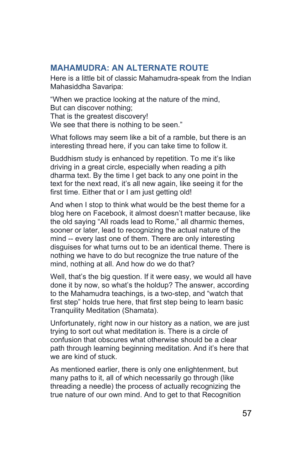#### **MAHAMUDRA: AN ALTERNATE ROUTE**

Here is a little bit of classic Mahamudra-speak from the Indian Mahasiddha Savaripa:

"When we practice looking at the nature of the mind, But can discover nothing; That is the greatest discovery! We see that there is nothing to be seen."

What follows may seem like a bit of a ramble, but there is an interesting thread here, if you can take time to follow it.

Buddhism study is enhanced by repetition. To me it's like driving in a great circle, especially when reading a pith dharma text. By the time I get back to any one point in the text for the next read, it's all new again, like seeing it for the first time. Either that or I am just getting old!

And when I stop to think what would be the best theme for a blog here on Facebook, it almost doesn't matter because, like the old saying "All roads lead to Rome," all dharmic themes, sooner or later, lead to recognizing the actual nature of the mind -- every last one of them. There are only interesting disguises for what turns out to be an identical theme. There is nothing we have to do but recognize the true nature of the mind, nothing at all. And how do we do that?

Well, that's the big question. If it were easy, we would all have done it by now, so what's the holdup? The answer, according to the Mahamudra teachings, is a two-step, and "watch that first step" holds true here, that first step being to learn basic Tranquility Meditation (Shamata).

Unfortunately, right now in our history as a nation, we are just trying to sort out what meditation is. There is a circle of confusion that obscures what otherwise should be a clear path through learning beginning meditation. And it's here that we are kind of stuck.

As mentioned earlier, there is only one enlightenment, but many paths to it, all of which necessarily go through (like threading a needle) the process of actually recognizing the true nature of our own mind. And to get to that Recognition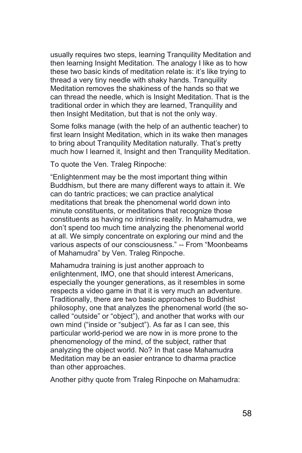usually requires two steps, learning Tranquility Meditation and then learning Insight Meditation. The analogy I like as to how these two basic kinds of meditation relate is: it's like trying to thread a very tiny needle with shaky hands. Tranquility Meditation removes the shakiness of the hands so that we can thread the needle, which is Insight Meditation. That is the traditional order in which they are learned, Tranquility and then Insight Meditation, but that is not the only way.

Some folks manage (with the help of an authentic teacher) to first learn Insight Meditation, which in its wake then manages to bring about Tranquility Meditation naturally. That's pretty much how I learned it, Insight and then Tranquility Meditation.

To quote the Ven. Traleg Rinpoche:

"Enlightenment may be the most important thing within Buddhism, but there are many different ways to attain it. We can do tantric practices; we can practice analytical meditations that break the phenomenal world down into minute constituents, or meditations that recognize those constituents as having no intrinsic reality. In Mahamudra, we don't spend too much time analyzing the phenomenal world at all. We simply concentrate on exploring our mind and the various aspects of our consciousness." -- From "Moonbeams of Mahamudra" by Ven. Traleg Rinpoche.

Mahamudra training is just another approach to enlightenment, IMO, one that should interest Americans, especially the younger generations, as it resembles in some respects a video game in that it is very much an adventure. Traditionally, there are two basic approaches to Buddhist philosophy, one that analyzes the phenomenal world (the socalled "outside" or "object"), and another that works with our own mind ("inside or "subject"). As far as I can see, this particular world-period we are now in is more prone to the phenomenology of the mind, of the subject, rather that analyzing the object world. No? In that case Mahamudra Meditation may be an easier entrance to dharma practice than other approaches.

Another pithy quote from Traleg Rinpoche on Mahamudra: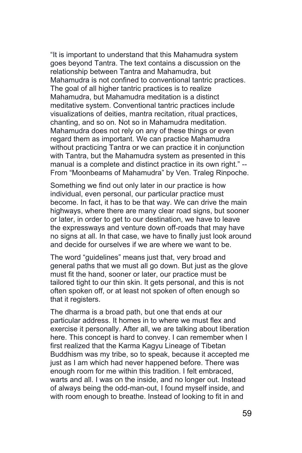"It is important to understand that this Mahamudra system goes beyond Tantra. The text contains a discussion on the relationship between Tantra and Mahamudra, but Mahamudra is not confined to conventional tantric practices. The goal of all higher tantric practices is to realize Mahamudra, but Mahamudra meditation is a distinct meditative system. Conventional tantric practices include visualizations of deities, mantra recitation, ritual practices, chanting, and so on. Not so in Mahamudra meditation. Mahamudra does not rely on any of these things or even regard them as important. We can practice Mahamudra without practicing Tantra or we can practice it in conjunction with Tantra, but the Mahamudra system as presented in this manual is a complete and distinct practice in its own right." -- From "Moonbeams of Mahamudra" by Ven. Traleg Rinpoche.

Something we find out only later in our practice is how individual, even personal, our particular practice must become. In fact, it has to be that way. We can drive the main highways, where there are many clear road signs, but sooner or later, in order to get to our destination, we have to leave the expressways and venture down off-roads that may have no signs at all. In that case, we have to finally just look around and decide for ourselves if we are where we want to be.

The word "guidelines" means just that, very broad and general paths that we must all go down. But just as the glove must fit the hand, sooner or later, our practice must be tailored tight to our thin skin. It gets personal, and this is not often spoken off, or at least not spoken of often enough so that it registers.

The dharma is a broad path, but one that ends at our particular address. It homes in to where we must flex and exercise it personally. After all, we are talking about liberation here. This concept is hard to convey. I can remember when I first realized that the Karma Kagyu Lineage of Tibetan Buddhism was my tribe, so to speak, because it accepted me just as I am which had never happened before. There was enough room for me within this tradition. I felt embraced, warts and all. I was on the inside, and no longer out. Instead of always being the odd-man-out, I found myself inside, and with room enough to breathe. Instead of looking to fit in and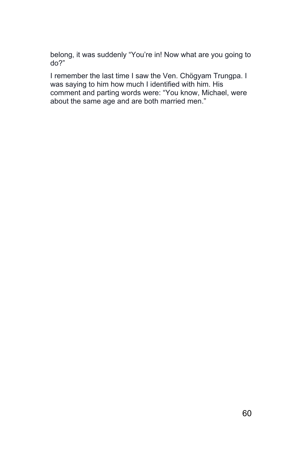belong, it was suddenly "You're in! Now what are you going to do?"

I remember the last time I saw the Ven. Chögyam Trungpa. I was saying to him how much I identified with him. His comment and parting words were: "You know, Michael, were about the same age and are both married men."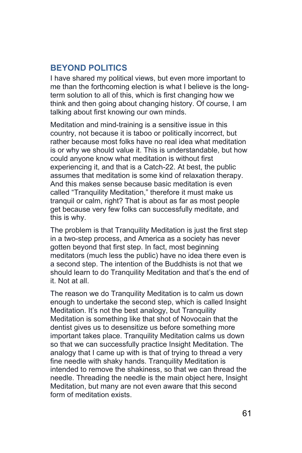### **BEYOND POLITICS**

I have shared my political views, but even more important to me than the forthcoming election is what I believe is the longterm solution to all of this, which is first changing how we think and then going about changing history. Of course, I am talking about first knowing our own minds.

Meditation and mind-training is a sensitive issue in this country, not because it is taboo or politically incorrect, but rather because most folks have no real idea what meditation is or why we should value it. This is understandable, but how could anyone know what meditation is without first experiencing it, and that is a Catch-22. At best, the public assumes that meditation is some kind of relaxation therapy. And this makes sense because basic meditation is even called "Tranquility Meditation," therefore it must make us tranquil or calm, right? That is about as far as most people get because very few folks can successfully meditate, and this is why.

The problem is that Tranquility Meditation is just the first step in a two-step process, and America as a society has never gotten beyond that first step. In fact, most beginning meditators (much less the public) have no idea there even is a second step. The intention of the Buddhists is not that we should learn to do Tranquility Meditation and that's the end of it. Not at all.

The reason we do Tranquility Meditation is to calm us down enough to undertake the second step, which is called Insight Meditation. It's not the best analogy, but Tranquility Meditation is something like that shot of Novocain that the dentist gives us to desensitize us before something more important takes place. Tranquility Meditation calms us down so that we can successfully practice Insight Meditation. The analogy that I came up with is that of trying to thread a very fine needle with shaky hands. Tranquility Meditation is intended to remove the shakiness, so that we can thread the needle. Threading the needle is the main object here, Insight Meditation, but many are not even aware that this second form of meditation exists.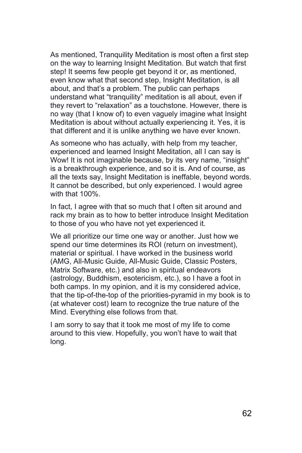As mentioned, Tranquility Meditation is most often a first step on the way to learning Insight Meditation. But watch that first step! It seems few people get beyond it or, as mentioned, even know what that second step, Insight Meditation, is all about, and that's a problem. The public can perhaps understand what "tranquility" meditation is all about, even if they revert to "relaxation" as a touchstone. However, there is no way (that I know of) to even vaguely imagine what Insight Meditation is about without actually experiencing it. Yes, it is that different and it is unlike anything we have ever known.

As someone who has actually, with help from my teacher, experienced and learned Insight Meditation, all I can say is Wow! It is not imaginable because, by its very name, "insight" is a breakthrough experience, and so it is. And of course, as all the texts say, Insight Meditation is ineffable, beyond words. It cannot be described, but only experienced. I would agree with that 100%.

In fact, I agree with that so much that I often sit around and rack my brain as to how to better introduce Insight Meditation to those of you who have not yet experienced it.

We all prioritize our time one way or another. Just how we spend our time determines its ROI (return on investment), material or spiritual. I have worked in the business world (AMG, All-Music Guide, All-Music Guide, Classic Posters, Matrix Software, etc.) and also in spiritual endeavors (astrology, Buddhism, esotericism, etc.), so I have a foot in both camps. In my opinion, and it is my considered advice, that the tip-of-the-top of the priorities-pyramid in my book is to (at whatever cost) learn to recognize the true nature of the Mind. Everything else follows from that.

I am sorry to say that it took me most of my life to come around to this view. Hopefully, you won't have to wait that long.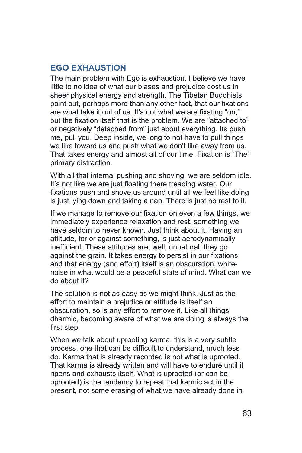#### **EGO EXHAUSTION**

The main problem with Ego is exhaustion. I believe we have little to no idea of what our biases and prejudice cost us in sheer physical energy and strength. The Tibetan Buddhists point out, perhaps more than any other fact, that our fixations are what take it out of us. It's not what we are fixating "on," but the fixation itself that is the problem. We are "attached to" or negatively "detached from" just about everything. Its push me, pull you. Deep inside, we long to not have to pull things we like toward us and push what we don't like away from us. That takes energy and almost all of our time. Fixation is "The" primary distraction.

With all that internal pushing and shoving, we are seldom idle. It's not like we are just floating there treading water. Our fixations push and shove us around until all we feel like doing is just lying down and taking a nap. There is just no rest to it.

If we manage to remove our fixation on even a few things, we immediately experience relaxation and rest, something we have seldom to never known. Just think about it. Having an attitude, for or against something, is just aerodynamically inefficient. These attitudes are, well, unnatural; they go against the grain. It takes energy to persist in our fixations and that energy (and effort) itself is an obscuration, whitenoise in what would be a peaceful state of mind. What can we do about it?

The solution is not as easy as we might think. Just as the effort to maintain a prejudice or attitude is itself an obscuration, so is any effort to remove it. Like all things dharmic, becoming aware of what we are doing is always the first step.

When we talk about uprooting karma, this is a very subtle process, one that can be difficult to understand, much less do. Karma that is already recorded is not what is uprooted. That karma is already written and will have to endure until it ripens and exhausts itself. What is uprooted (or can be uprooted) is the tendency to repeat that karmic act in the present, not some erasing of what we have already done in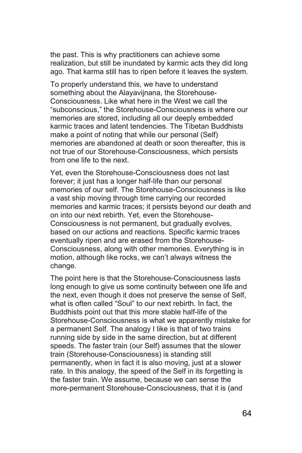the past. This is why practitioners can achieve some realization, but still be inundated by karmic acts they did long ago. That karma still has to ripen before it leaves the system.

To properly understand this, we have to understand something about the Alayavijnana, the Storehouse-Consciousness. Like what here in the West we call the "subconscious," the Storehouse-Consciousness is where our memories are stored, including all our deeply embedded karmic traces and latent tendencies. The Tibetan Buddhists make a point of noting that while our personal (Self) memories are abandoned at death or soon thereafter, this is not true of our Storehouse-Consciousness, which persists from one life to the next.

Yet, even the Storehouse-Consciousness does not last forever; it just has a longer half-life than our personal memories of our self. The Storehouse-Consciousness is like a vast ship moving through time carrying our recorded memories and karmic traces; it persists beyond our death and on into our next rebirth. Yet, even the Storehouse-Consciousness is not permanent, but gradually evolves, based on our actions and reactions. Specific karmic traces eventually ripen and are erased from the Storehouse-Consciousness, along with other memories. Everything is in motion, although like rocks, we can't always witness the change.

The point here is that the Storehouse-Consciousness lasts long enough to give us some continuity between one life and the next, even though it does not preserve the sense of Self, what is often called "Soul" to our next rebirth. In fact, the Buddhists point out that this more stable half-life of the Storehouse-Consciousness is what we apparently mistake for a permanent Self. The analogy I like is that of two trains running side by side in the same direction, but at different speeds. The faster train (our Self) assumes that the slower train (Storehouse-Consciousness) is standing still permanently, when in fact it is also moving, just at a slower rate. In this analogy, the speed of the Self in its forgetting is the faster train. We assume, because we can sense the more-permanent Storehouse-Consciousness, that it is (and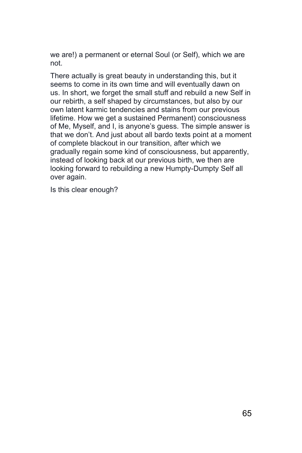we are!) a permanent or eternal Soul (or Self), which we are not.

There actually is great beauty in understanding this, but it seems to come in its own time and will eventually dawn on us. In short, we forget the small stuff and rebuild a new Self in our rebirth, a self shaped by circumstances, but also by our own latent karmic tendencies and stains from our previous lifetime. How we get a sustained Permanent) consciousness of Me, Myself, and I, is anyone's guess. The simple answer is that we don't. And just about all bardo texts point at a moment of complete blackout in our transition, after which we gradually regain some kind of consciousness, but apparently, instead of looking back at our previous birth, we then are looking forward to rebuilding a new Humpty-Dumpty Self all over again.

Is this clear enough?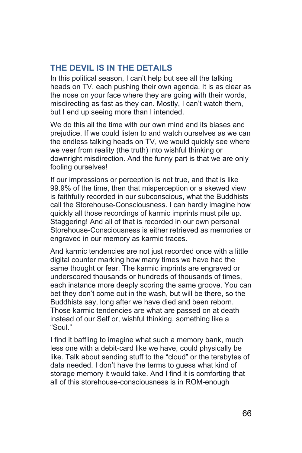# **THE DEVIL IS IN THE DETAILS**

In this political season, I can't help but see all the talking heads on TV, each pushing their own agenda. It is as clear as the nose on your face where they are going with their words, misdirecting as fast as they can. Mostly, I can't watch them, but I end up seeing more than I intended.

We do this all the time with our own mind and its biases and prejudice. If we could listen to and watch ourselves as we can the endless talking heads on TV, we would quickly see where we veer from reality (the truth) into wishful thinking or downright misdirection. And the funny part is that we are only fooling ourselves!

If our impressions or perception is not true, and that is like 99.9% of the time, then that misperception or a skewed view is faithfully recorded in our subconscious, what the Buddhists call the Storehouse-Consciousness. I can hardly imagine how quickly all those recordings of karmic imprints must pile up. Staggering! And all of that is recorded in our own personal Storehouse-Consciousness is either retrieved as memories or engraved in our memory as karmic traces.

And karmic tendencies are not just recorded once with a little digital counter marking how many times we have had the same thought or fear. The karmic imprints are engraved or underscored thousands or hundreds of thousands of times, each instance more deeply scoring the same groove. You can bet they don't come out in the wash, but will be there, so the Buddhists say, long after we have died and been reborn. Those karmic tendencies are what are passed on at death instead of our Self or, wishful thinking, something like a "Soul."

I find it baffling to imagine what such a memory bank, much less one with a debit-card like we have, could physically be like. Talk about sending stuff to the "cloud" or the terabytes of data needed. I don't have the terms to guess what kind of storage memory it would take. And I find it is comforting that all of this storehouse-consciousness is in ROM-enough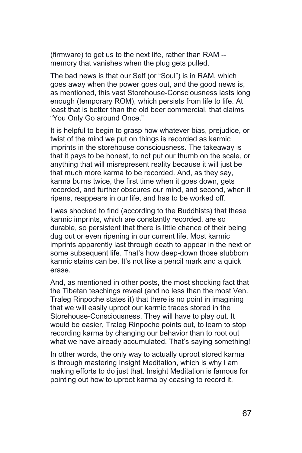(firmware) to get us to the next life, rather than RAM - memory that vanishes when the plug gets pulled.

The bad news is that our Self (or "Soul") is in RAM, which goes away when the power goes out, and the good news is, as mentioned, this vast Storehouse-Consciousness lasts long enough (temporary ROM), which persists from life to life. At least that is better than the old beer commercial, that claims "You Only Go around Once."

It is helpful to begin to grasp how whatever bias, prejudice, or twist of the mind we put on things is recorded as karmic imprints in the storehouse consciousness. The takeaway is that it pays to be honest, to not put our thumb on the scale, or anything that will misrepresent reality because it will just be that much more karma to be recorded. And, as they say, karma burns twice, the first time when it goes down, gets recorded, and further obscures our mind, and second, when it ripens, reappears in our life, and has to be worked off.

I was shocked to find (according to the Buddhists) that these karmic imprints, which are constantly recorded, are so durable, so persistent that there is little chance of their being dug out or even ripening in our current life. Most karmic imprints apparently last through death to appear in the next or some subsequent life. That's how deep-down those stubborn karmic stains can be. It's not like a pencil mark and a quick erase.

And, as mentioned in other posts, the most shocking fact that the Tibetan teachings reveal (and no less than the most Ven. Traleg Rinpoche states it) that there is no point in imagining that we will easily uproot our karmic traces stored in the Storehouse-Consciousness. They will have to play out. It would be easier, Traleg Rinpoche points out, to learn to stop recording karma by changing our behavior than to root out what we have already accumulated. That's saying something!

In other words, the only way to actually uproot stored karma is through mastering Insight Meditation, which is why I am making efforts to do just that. Insight Meditation is famous for pointing out how to uproot karma by ceasing to record it.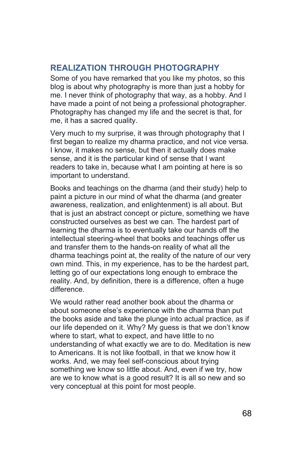# **REALIZATION THROUGH PHOTOGRAPHY**

Some of you have remarked that you like my photos, so this blog is about why photography is more than just a hobby for me. I never think of photography that way, as a hobby. And I have made a point of not being a professional photographer. Photography has changed my life and the secret is that, for me, it has a sacred quality.

Very much to my surprise, it was through photography that I first began to realize my dharma practice, and not vice versa. I know, it makes no sense, but then it actually does make sense, and it is the particular kind of sense that I want readers to take in, because what I am pointing at here is so important to understand.

Books and teachings on the dharma (and their study) help to paint a picture in our mind of what the dharma (and greater awareness, realization, and enlightenment) is all about. But that is just an abstract concept or picture, something we have constructed ourselves as best we can. The hardest part of learning the dharma is to eventually take our hands off the intellectual steering-wheel that books and teachings offer us and transfer them to the hands-on reality of what all the dharma teachings point at, the reality of the nature of our very own mind. This, in my experience, has to be the hardest part, letting go of our expectations long enough to embrace the reality. And, by definition, there is a difference, often a huge difference.

We would rather read another book about the dharma or about someone else's experience with the dharma than put the books aside and take the plunge into actual practice, as if our life depended on it. Why? My guess is that we don't know where to start, what to expect, and have little to no understanding of what exactly we are to do. Meditation is new to Americans. It is not like football, in that we know how it works. And, we may feel self-conscious about trying something we know so little about. And, even if we try, how are we to know what is a good result? It is all so new and so very conceptual at this point for most people.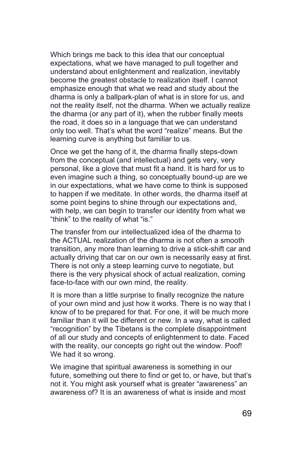Which brings me back to this idea that our conceptual expectations, what we have managed to pull together and understand about enlightenment and realization, inevitably become the greatest obstacle to realization itself. I cannot emphasize enough that what we read and study about the dharma is only a ballpark-plan of what is in store for us, and not the reality itself, not the dharma. When we actually realize the dharma (or any part of it), when the rubber finally meets the road, it does so in a language that we can understand only too well. That's what the word "realize" means. But the learning curve is anything but familiar to us.

Once we get the hang of it, the dharma finally steps-down from the conceptual (and intellectual) and gets very, very personal, like a glove that must fit a hand. It is hard for us to even imagine such a thing, so conceptually bound-up are we in our expectations, what we have come to think is supposed to happen if we meditate. In other words, the dharma itself at some point begins to shine through our expectations and. with help, we can begin to transfer our identity from what we "think" to the reality of what "is."

The transfer from our intellectualized idea of the dharma to the ACTUAL realization of the dharma is not often a smooth transition, any more than learning to drive a stick-shift car and actually driving that car on our own is necessarily easy at first. There is not only a steep learning curve to negotiate, but there is the very physical shock of actual realization, coming face-to-face with our own mind, the reality.

It is more than a little surprise to finally recognize the nature of your own mind and just how it works. There is no way that I know of to be prepared for that. For one, it will be much more familiar than it will be different or new. In a way, what is called "recognition" by the Tibetans is the complete disappointment of all our study and concepts of enlightenment to date. Faced with the reality, our concepts go right out the window. Poof! We had it so wrong.

We imagine that spiritual awareness is something in our future, something out there to find or get to, or have, but that's not it. You might ask yourself what is greater "awareness" an awareness of? It is an awareness of what is inside and most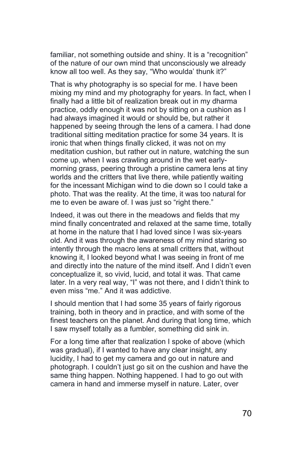familiar, not something outside and shiny. It is a "recognition" of the nature of our own mind that unconsciously we already know all too well. As they say, "Who woulda' thunk it?"

That is why photography is so special for me. I have been mixing my mind and my photography for years. In fact, when I finally had a little bit of realization break out in my dharma practice, oddly enough it was not by sitting on a cushion as I had always imagined it would or should be, but rather it happened by seeing through the lens of a camera. I had done traditional sitting meditation practice for some 34 years. It is ironic that when things finally clicked, it was not on my meditation cushion, but rather out in nature, watching the sun come up, when I was crawling around in the wet earlymorning grass, peering through a pristine camera lens at tiny worlds and the critters that live there, while patiently waiting for the incessant Michigan wind to die down so I could take a photo. That was the reality. At the time, it was too natural for me to even be aware of. I was just so "right there."

Indeed, it was out there in the meadows and fields that my mind finally concentrated and relaxed at the same time, totally at home in the nature that I had loved since I was six-years old. And it was through the awareness of my mind staring so intently through the macro lens at small critters that, without knowing it, I looked beyond what I was seeing in front of me and directly into the nature of the mind itself. And I didn't even conceptualize it, so vivid, lucid, and total it was. That came later. In a very real way, "I" was not there, and I didn't think to even miss "me." And it was addictive.

I should mention that I had some 35 years of fairly rigorous training, both in theory and in practice, and with some of the finest teachers on the planet. And during that long time, which I saw myself totally as a fumbler, something did sink in.

For a long time after that realization I spoke of above (which was gradual), if I wanted to have any clear insight, any lucidity, I had to get my camera and go out in nature and photograph. I couldn't just go sit on the cushion and have the same thing happen. Nothing happened. I had to go out with camera in hand and immerse myself in nature. Later, over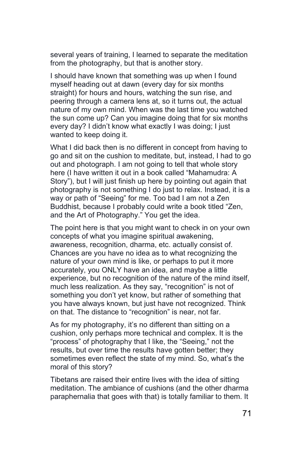several years of training, I learned to separate the meditation from the photography, but that is another story.

I should have known that something was up when I found myself heading out at dawn (every day for six months straight) for hours and hours, watching the sun rise, and peering through a camera lens at, so it turns out, the actual nature of my own mind. When was the last time you watched the sun come up? Can you imagine doing that for six months every day? I didn't know what exactly I was doing; I just wanted to keep doing it.

What I did back then is no different in concept from having to go and sit on the cushion to meditate, but, instead, I had to go out and photograph. I am not going to tell that whole story here (I have written it out in a book called "Mahamudra: A Story"), but I will just finish up here by pointing out again that photography is not something I do just to relax. Instead, it is a way or path of "Seeing" for me. Too bad I am not a Zen Buddhist, because I probably could write a book titled "Zen, and the Art of Photography." You get the idea.

The point here is that you might want to check in on your own concepts of what you imagine spiritual awakening, awareness, recognition, dharma, etc. actually consist of. Chances are you have no idea as to what recognizing the nature of your own mind is like, or perhaps to put it more accurately, you ONLY have an idea, and maybe a little experience, but no recognition of the nature of the mind itself, much less realization. As they say, "recognition" is not of something you don't yet know, but rather of something that you have always known, but just have not recognized. Think on that. The distance to "recognition" is near, not far.

As for my photography, it's no different than sitting on a cushion, only perhaps more technical and complex. It is the "process" of photography that I like, the "Seeing," not the results, but over time the results have gotten better; they sometimes even reflect the state of my mind. So, what's the moral of this story?

Tibetans are raised their entire lives with the idea of sitting meditation. The ambiance of cushions (and the other dharma paraphernalia that goes with that) is totally familiar to them. It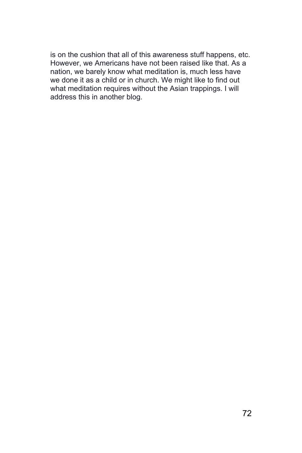is on the cushion that all of this awareness stuff happens, etc. However, we Americans have not been raised like that. As a nation, we barely know what meditation is, much less have we done it as a child or in church. We might like to find out what meditation requires without the Asian trappings. I will address this in another blog.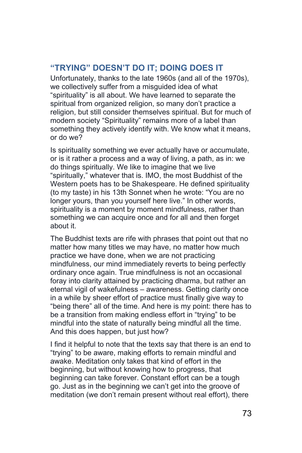## **"TRYING" DOESN'T DO IT; DOING DOES IT**

Unfortunately, thanks to the late 1960s (and all of the 1970s), we collectively suffer from a misguided idea of what "spirituality" is all about. We have learned to separate the spiritual from organized religion, so many don't practice a religion, but still consider themselves spiritual. But for much of modern society "Spirituality" remains more of a label than something they actively identify with. We know what it means, or do we?

Is spirituality something we ever actually have or accumulate, or is it rather a process and a way of living, a path, as in: we do things spiritually. We like to imagine that we live "spiritually," whatever that is. IMO, the most Buddhist of the Western poets has to be Shakespeare. He defined spirituality (to my taste) in his 13th Sonnet when he wrote: "You are no longer yours, than you yourself here live." In other words, spirituality is a moment by moment mindfulness, rather than something we can acquire once and for all and then forget about it.

The Buddhist texts are rife with phrases that point out that no matter how many titles we may have, no matter how much practice we have done, when we are not practicing mindfulness, our mind immediately reverts to being perfectly ordinary once again. True mindfulness is not an occasional foray into clarity attained by practicing dharma, but rather an eternal vigil of wakefulness – awareness. Getting clarity once in a while by sheer effort of practice must finally give way to "being there" all of the time. And here is my point: there has to be a transition from making endless effort in "trying" to be mindful into the state of naturally being mindful all the time. And this does happen, but just how?

I find it helpful to note that the texts say that there is an end to "trying" to be aware, making efforts to remain mindful and awake. Meditation only takes that kind of effort in the beginning, but without knowing how to progress, that beginning can take forever. Constant effort can be a tough go. Just as in the beginning we can't get into the groove of meditation (we don't remain present without real effort), there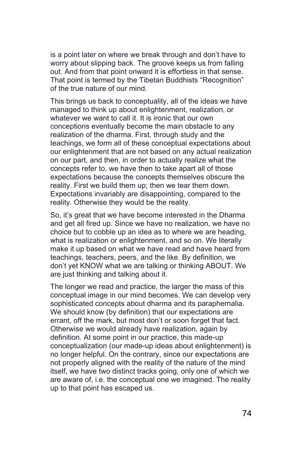is a point later on where we break through and don't have to worry about slipping back. The groove keeps us from falling out. And from that point onward it is effortless in that sense. That point is termed by the Tibetan Buddhists "Recognition" of the true nature of our mind.

This brings us back to conceptuality, all of the ideas we have managed to think up about enlightenment, realization, or whatever we want to call it. It is ironic that our own conceptions eventually become the main obstacle to any realization of the dharma. First, through study and the teachings, we form all of these conceptual expectations about our enlightenment that are not based on any actual realization on our part, and then, in order to actually realize what the concepts refer to, we have then to take apart all of those expectations because the concepts themselves obscure the reality. First we build them up; then we tear them down. Expectations invariably are disappointing, compared to the reality. Otherwise they would be the reality.

So, it's great that we have become interested in the Dharma and get all fired up. Since we have no realization, we have no choice but to cobble up an idea as to where we are heading, what is realization or enlightenment, and so on. We literally make it up based on what we have read and have heard from teachings, teachers, peers, and the like. By definition, we don't yet KNOW what we are talking or thinking ABOUT. We are just thinking and talking about it.

The longer we read and practice, the larger the mass of this conceptual image in our mind becomes. We can develop very sophisticated concepts about dharma and its paraphernalia. We should know (by definition) that our expectations are errant, off the mark, but most don't or soon forget that fact. Otherwise we would already have realization, again by definition. At some point in our practice, this made-up conceptualization (our made-up ideas about enlightenment) is no longer helpful. On the contrary, since our expectations are not properly aligned with the reality of the nature of the mind itself, we have two distinct tracks going, only one of which we are aware of, i.e. the conceptual one we imagined. The reality up to that point has escaped us.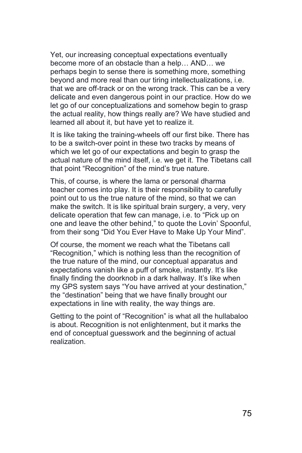Yet, our increasing conceptual expectations eventually become more of an obstacle than a help… AND… we perhaps begin to sense there is something more, something beyond and more real than our tiring intellectualizations, i.e. that we are off-track or on the wrong track. This can be a very delicate and even dangerous point in our practice. How do we let go of our conceptualizations and somehow begin to grasp the actual reality, how things really are? We have studied and learned all about it, but have yet to realize it.

It is like taking the training-wheels off our first bike. There has to be a switch-over point in these two tracks by means of which we let go of our expectations and begin to grasp the actual nature of the mind itself, i.e. we get it. The Tibetans call that point "Recognition" of the mind's true nature.

This, of course, is where the lama or personal dharma teacher comes into play. It is their responsibility to carefully point out to us the true nature of the mind, so that we can make the switch. It is like spiritual brain surgery, a very, very delicate operation that few can manage, i.e. to "Pick up on one and leave the other behind," to quote the Lovin' Spoonful, from their song "Did You Ever Have to Make Up Your Mind".

Of course, the moment we reach what the Tibetans call "Recognition," which is nothing less than the recognition of the true nature of the mind, our conceptual apparatus and expectations vanish like a puff of smoke, instantly. It's like finally finding the doorknob in a dark hallway. It's like when my GPS system says "You have arrived at your destination," the "destination" being that we have finally brought our expectations in line with reality, the way things are.

Getting to the point of "Recognition" is what all the hullabaloo is about. Recognition is not enlightenment, but it marks the end of conceptual guesswork and the beginning of actual realization.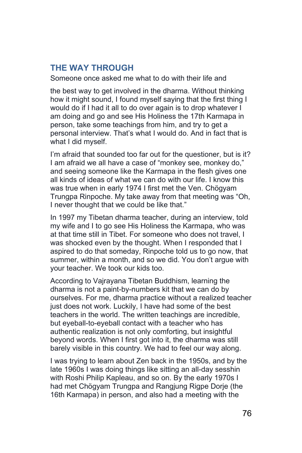## **THE WAY THROUGH**

Someone once asked me what to do with their life and

the best way to get involved in the dharma. Without thinking how it might sound, I found myself saying that the first thing I would do if I had it all to do over again is to drop whatever I am doing and go and see His Holiness the 17th Karmapa in person, take some teachings from him, and try to get a personal interview. That's what I would do. And in fact that is what I did myself.

I'm afraid that sounded too far out for the questioner, but is it? I am afraid we all have a case of "monkey see, monkey do," and seeing someone like the Karmapa in the flesh gives one all kinds of ideas of what we can do with our life. I know this was true when in early 1974 I first met the Ven. Chögyam Trungpa Rinpoche. My take away from that meeting was "Oh, I never thought that we could be like that."

In 1997 my Tibetan dharma teacher, during an interview, told my wife and I to go see His Holiness the Karmapa, who was at that time still in Tibet. For someone who does not travel, I was shocked even by the thought. When I responded that I aspired to do that someday, Rinpoche told us to go now, that summer, within a month, and so we did. You don't argue with your teacher. We took our kids too.

According to Vajrayana Tibetan Buddhism, learning the dharma is not a paint-by-numbers kit that we can do by ourselves. For me, dharma practice without a realized teacher just does not work. Luckily, I have had some of the best teachers in the world. The written teachings are incredible, but eyeball-to-eyeball contact with a teacher who has authentic realization is not only comforting, but insightful beyond words. When I first got into it, the dharma was still barely visible in this country. We had to feel our way along.

I was trying to learn about Zen back in the 1950s, and by the late 1960s I was doing things like sitting an all-day sesshin with Roshi Philip Kapleau, and so on. By the early 1970s I had met Chögyam Trungpa and Rangjung Rigpe Dorje (the 16th Karmapa) in person, and also had a meeting with the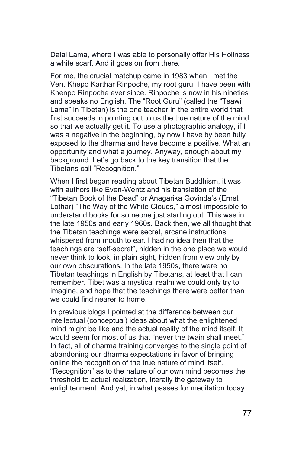Dalai Lama, where I was able to personally offer His Holiness a white scarf. And it goes on from there.

For me, the crucial matchup came in 1983 when I met the Ven. Khepo Karthar Rinpoche, my root guru. I have been with Khenpo Rinpoche ever since. Rinpoche is now in his nineties and speaks no English. The "Root Guru" (called the "Tsawi Lama" in Tibetan) is the one teacher in the entire world that first succeeds in pointing out to us the true nature of the mind so that we actually get it. To use a photographic analogy, if I was a negative in the beginning, by now I have by been fully exposed to the dharma and have become a positive. What an opportunity and what a journey. Anyway, enough about my background. Let's go back to the key transition that the Tibetans call "Recognition."

When I first began reading about Tibetan Buddhism, it was with authors like Even-Wentz and his translation of the "Tibetan Book of the Dead" or Anagarika Govinda's (Ernst Lothar) "The Way of the White Clouds," almost-impossible-tounderstand books for someone just starting out. This was in the late 1950s and early 1960s. Back then, we all thought that the Tibetan teachings were secret, arcane instructions whispered from mouth to ear. I had no idea then that the teachings are "self-secret", hidden in the one place we would never think to look, in plain sight, hidden from view only by our own obscurations. In the late 1950s, there were no Tibetan teachings in English by Tibetans, at least that I can remember. Tibet was a mystical realm we could only try to imagine, and hope that the teachings there were better than we could find nearer to home.

In previous blogs I pointed at the difference between our intellectual (conceptual) ideas about what the enlightened mind might be like and the actual reality of the mind itself. It would seem for most of us that "never the twain shall meet." In fact, all of dharma training converges to the single point of abandoning our dharma expectations in favor of bringing online the recognition of the true nature of mind itself. "Recognition" as to the nature of our own mind becomes the threshold to actual realization, literally the gateway to enlightenment. And yet, in what passes for meditation today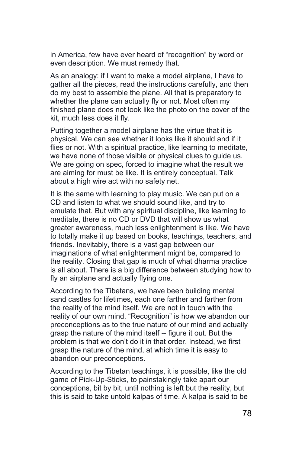in America, few have ever heard of "recognition" by word or even description. We must remedy that.

As an analogy: if I want to make a model airplane, I have to gather all the pieces, read the instructions carefully, and then do my best to assemble the plane. All that is preparatory to whether the plane can actually fly or not. Most often my finished plane does not look like the photo on the cover of the kit, much less does it fly.

Putting together a model airplane has the virtue that it is physical. We can see whether it looks like it should and if it flies or not. With a spiritual practice, like learning to meditate, we have none of those visible or physical clues to guide us. We are going on spec, forced to imagine what the result we are aiming for must be like. It is entirely conceptual. Talk about a high wire act with no safety net.

It is the same with learning to play music. We can put on a CD and listen to what we should sound like, and try to emulate that. But with any spiritual discipline, like learning to meditate, there is no CD or DVD that will show us what greater awareness, much less enlightenment is like. We have to totally make it up based on books, teachings, teachers, and friends. Inevitably, there is a vast gap between our imaginations of what enlightenment might be, compared to the reality. Closing that gap is much of what dharma practice is all about. There is a big difference between studying how to fly an airplane and actually flying one.

According to the Tibetans, we have been building mental sand castles for lifetimes, each one farther and farther from the reality of the mind itself. We are not in touch with the reality of our own mind. "Recognition" is how we abandon our preconceptions as to the true nature of our mind and actually grasp the nature of the mind itself -- figure it out. But the problem is that we don't do it in that order. Instead, we first grasp the nature of the mind, at which time it is easy to abandon our preconceptions.

According to the Tibetan teachings, it is possible, like the old game of Pick-Up-Sticks, to painstakingly take apart our conceptions, bit by bit, until nothing is left but the reality, but this is said to take untold kalpas of time. A kalpa is said to be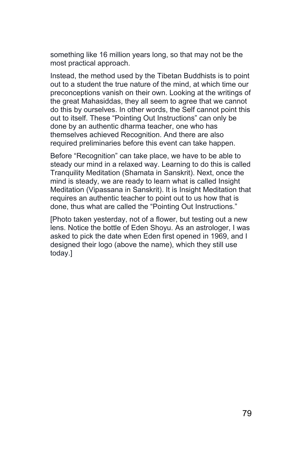something like 16 million years long, so that may not be the most practical approach.

Instead, the method used by the Tibetan Buddhists is to point out to a student the true nature of the mind, at which time our preconceptions vanish on their own. Looking at the writings of the great Mahasiddas, they all seem to agree that we cannot do this by ourselves. In other words, the Self cannot point this out to itself. These "Pointing Out Instructions" can only be done by an authentic dharma teacher, one who has themselves achieved Recognition. And there are also required preliminaries before this event can take happen.

Before "Recognition" can take place, we have to be able to steady our mind in a relaxed way. Learning to do this is called Tranquility Meditation (Shamata in Sanskrit). Next, once the mind is steady, we are ready to learn what is called Insight Meditation (Vipassana in Sanskrit). It is Insight Meditation that requires an authentic teacher to point out to us how that is done, thus what are called the "Pointing Out Instructions."

[Photo taken yesterday, not of a flower, but testing out a new lens. Notice the bottle of Eden Shoyu. As an astrologer, I was asked to pick the date when Eden first opened in 1969, and I designed their logo (above the name), which they still use today.]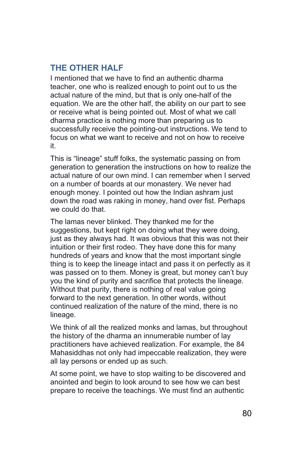# **THE OTHER HALF**

I mentioned that we have to find an authentic dharma teacher, one who is realized enough to point out to us the actual nature of the mind, but that is only one-half of the equation. We are the other half, the ability on our part to see or receive what is being pointed out. Most of what we call dharma practice is nothing more than preparing us to successfully receive the pointing-out instructions. We tend to focus on what we want to receive and not on how to receive it.

This is "lineage" stuff folks, the systematic passing on from generation to generation the instructions on how to realize the actual nature of our own mind. I can remember when I served on a number of boards at our monastery. We never had enough money. I pointed out how the Indian ashram just down the road was raking in money, hand over fist. Perhaps we could do that.

The lamas never blinked. They thanked me for the suggestions, but kept right on doing what they were doing. just as they always had. It was obvious that this was not their intuition or their first rodeo. They have done this for many hundreds of years and know that the most important single thing is to keep the lineage intact and pass it on perfectly as it was passed on to them. Money is great, but money can't buy you the kind of purity and sacrifice that protects the lineage. Without that purity, there is nothing of real value going forward to the next generation. In other words, without continued realization of the nature of the mind, there is no lineage.

We think of all the realized monks and lamas, but throughout the history of the dharma an innumerable number of lay practitioners have achieved realization. For example, the 84 Mahasiddhas not only had impeccable realization, they were all lay persons or ended up as such.

At some point, we have to stop waiting to be discovered and anointed and begin to look around to see how we can best prepare to receive the teachings. We must find an authentic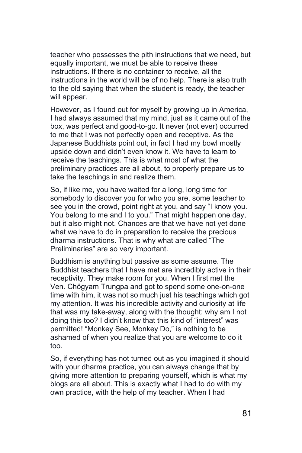teacher who possesses the pith instructions that we need, but equally important, we must be able to receive these instructions. If there is no container to receive, all the instructions in the world will be of no help. There is also truth to the old saying that when the student is ready, the teacher will appear.

However, as I found out for myself by growing up in America, I had always assumed that my mind, just as it came out of the box, was perfect and good-to-go. It never (not ever) occurred to me that I was not perfectly open and receptive. As the Japanese Buddhists point out, in fact I had my bowl mostly upside down and didn't even know it. We have to learn to receive the teachings. This is what most of what the preliminary practices are all about, to properly prepare us to take the teachings in and realize them.

So, if like me, you have waited for a long, long time for somebody to discover you for who you are, some teacher to see you in the crowd, point right at you, and say "I know you. You belong to me and I to you." That might happen one day, but it also might not. Chances are that we have not yet done what we have to do in preparation to receive the precious dharma instructions. That is why what are called "The Preliminaries" are so very important.

Buddhism is anything but passive as some assume. The Buddhist teachers that I have met are incredibly active in their receptivity. They make room for you. When I first met the Ven. Chögyam Trungpa and got to spend some one-on-one time with him, it was not so much just his teachings which got my attention. It was his incredible activity and curiosity at life that was my take-away, along with the thought: why am I not doing this too? I didn't know that this kind of "interest" was permitted! "Monkey See, Monkey Do," is nothing to be ashamed of when you realize that you are welcome to do it too.

So, if everything has not turned out as you imagined it should with your dharma practice, you can always change that by giving more attention to preparing yourself, which is what my blogs are all about. This is exactly what I had to do with my own practice, with the help of my teacher. When I had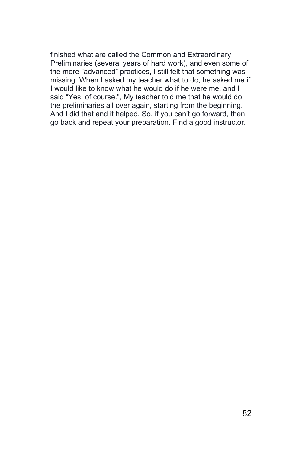finished what are called the Common and Extraordinary Preliminaries (several years of hard work), and even some of the more "advanced" practices, I still felt that something was missing. When I asked my teacher what to do, he asked me if I would like to know what he would do if he were me, and I said "Yes, of course.", My teacher told me that he would do the preliminaries all over again, starting from the beginning. And I did that and it helped. So, if you can't go forward, then go back and repeat your preparation. Find a good instructor.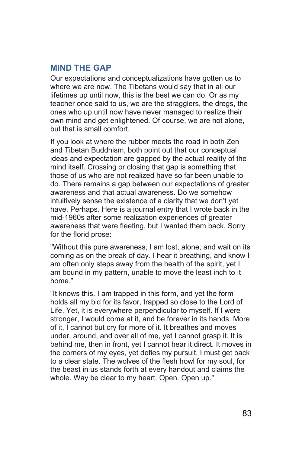#### **MIND THE GAP**

Our expectations and conceptualizations have gotten us to where we are now. The Tibetans would say that in all our lifetimes up until now, this is the best we can do. Or as my teacher once said to us, we are the stragglers, the dregs, the ones who up until now have never managed to realize their own mind and get enlightened. Of course, we are not alone, but that is small comfort.

If you look at where the rubber meets the road in both Zen and Tibetan Buddhism, both point out that our conceptual ideas and expectation are gapped by the actual reality of the mind itself. Crossing or closing that gap is something that those of us who are not realized have so far been unable to do. There remains a gap between our expectations of greater awareness and that actual awareness. Do we somehow intuitively sense the existence of a clarity that we don't yet have. Perhaps. Here is a journal entry that I wrote back in the mid-1960s after some realization experiences of greater awareness that were fleeting, but I wanted them back. Sorry for the florid prose:

"Without this pure awareness, I am lost, alone, and wait on its coming as on the break of day. I hear it breathing, and know I am often only steps away from the health of the spirit, yet I am bound in my pattern, unable to move the least inch to it home."

"It knows this. I am trapped in this form, and yet the form holds all my bid for its favor, trapped so close to the Lord of Life. Yet, it is everywhere perpendicular to myself. If I were stronger, I would come at it, and be forever in its hands. More of it, I cannot but cry for more of it. It breathes and moves under, around, and over all of me, yet I cannot grasp it. It is behind me, then in front, yet I cannot hear it direct. It moves in the corners of my eyes, yet defies my pursuit. I must get back to a clear state. The wolves of the flesh howl for my soul, for the beast in us stands forth at every handout and claims the whole. Way be clear to my heart. Open. Open up."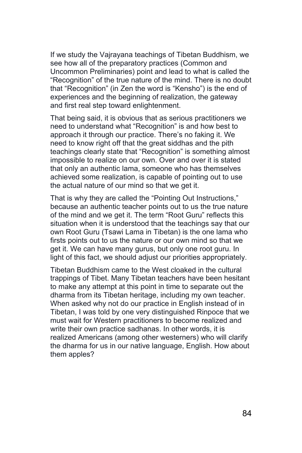If we study the Vajrayana teachings of Tibetan Buddhism, we see how all of the preparatory practices (Common and Uncommon Preliminaries) point and lead to what is called the "Recognition" of the true nature of the mind. There is no doubt that "Recognition" (in Zen the word is "Kensho") is the end of experiences and the beginning of realization, the gateway and first real step toward enlightenment.

That being said, it is obvious that as serious practitioners we need to understand what "Recognition" is and how best to approach it through our practice. There's no faking it. We need to know right off that the great siddhas and the pith teachings clearly state that "Recognition" is something almost impossible to realize on our own. Over and over it is stated that only an authentic lama, someone who has themselves achieved some realization, is capable of pointing out to use the actual nature of our mind so that we get it.

That is why they are called the "Pointing Out Instructions," because an authentic teacher points out to us the true nature of the mind and we get it. The term "Root Guru" reflects this situation when it is understood that the teachings say that our own Root Guru (Tsawi Lama in Tibetan) is the one lama who firsts points out to us the nature or our own mind so that we get it. We can have many gurus, but only one root guru. In light of this fact, we should adjust our priorities appropriately.

Tibetan Buddhism came to the West cloaked in the cultural trappings of Tibet. Many Tibetan teachers have been hesitant to make any attempt at this point in time to separate out the dharma from its Tibetan heritage, including my own teacher. When asked why not do our practice in English instead of in Tibetan, I was told by one very distinguished Rinpoce that we must wait for Western practitioners to become realized and write their own practice sadhanas. In other words, it is realized Americans (among other westerners) who will clarify the dharma for us in our native language, English. How about them apples?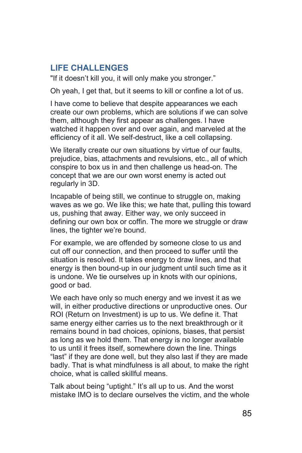## **LIFE CHALLENGES**

"If it doesn't kill you, it will only make you stronger."

Oh yeah, I get that, but it seems to kill or confine a lot of us.

I have come to believe that despite appearances we each create our own problems, which are solutions if we can solve them, although they first appear as challenges. I have watched it happen over and over again, and marveled at the efficiency of it all. We self-destruct, like a cell collapsing.

We literally create our own situations by virtue of our faults, prejudice, bias, attachments and revulsions, etc., all of which conspire to box us in and then challenge us head-on. The concept that we are our own worst enemy is acted out regularly in 3D.

Incapable of being still, we continue to struggle on, making waves as we go. We like this; we hate that, pulling this toward us, pushing that away. Either way, we only succeed in defining our own box or coffin. The more we struggle or draw lines, the tighter we're bound.

For example, we are offended by someone close to us and cut off our connection, and then proceed to suffer until the situation is resolved. It takes energy to draw lines, and that energy is then bound-up in our judgment until such time as it is undone. We tie ourselves up in knots with our opinions, good or bad.

We each have only so much energy and we invest it as we will, in either productive directions or unproductive ones. Our ROI (Return on Investment) is up to us. We define it. That same energy either carries us to the next breakthrough or it remains bound in bad choices, opinions, biases, that persist as long as we hold them. That energy is no longer available to us until it frees itself, somewhere down the line. Things "last" if they are done well, but they also last if they are made badly. That is what mindfulness is all about, to make the right choice, what is called skillful means.

Talk about being "uptight." It's all up to us. And the worst mistake IMO is to declare ourselves the victim, and the whole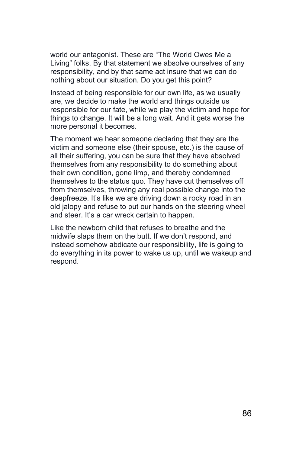world our antagonist. These are "The World Owes Me a Living" folks. By that statement we absolve ourselves of any responsibility, and by that same act insure that we can do nothing about our situation. Do you get this point?

Instead of being responsible for our own life, as we usually are, we decide to make the world and things outside us responsible for our fate, while we play the victim and hope for things to change. It will be a long wait. And it gets worse the more personal it becomes.

The moment we hear someone declaring that they are the victim and someone else (their spouse, etc.) is the cause of all their suffering, you can be sure that they have absolved themselves from any responsibility to do something about their own condition, gone limp, and thereby condemned themselves to the status quo. They have cut themselves off from themselves, throwing any real possible change into the deepfreeze. It's like we are driving down a rocky road in an old jalopy and refuse to put our hands on the steering wheel and steer. It's a car wreck certain to happen.

Like the newborn child that refuses to breathe and the midwife slaps them on the butt. If we don't respond, and instead somehow abdicate our responsibility, life is going to do everything in its power to wake us up, until we wakeup and respond.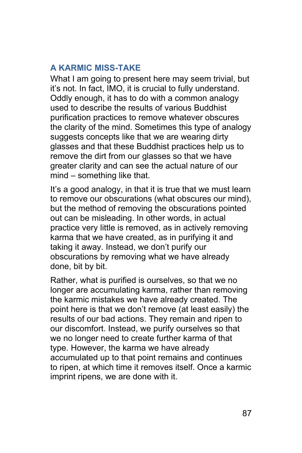# **A KARMIC MISS-TAKE**

What I am going to present here may seem trivial, but it's not. In fact, IMO, it is crucial to fully understand. Oddly enough, it has to do with a common analogy used to describe the results of various Buddhist purification practices to remove whatever obscures the clarity of the mind. Sometimes this type of analogy suggests concepts like that we are wearing dirty glasses and that these Buddhist practices help us to remove the dirt from our glasses so that we have greater clarity and can see the actual nature of our mind – something like that.

It's a good analogy, in that it is true that we must learn to remove our obscurations (what obscures our mind), but the method of removing the obscurations pointed out can be misleading. In other words, in actual practice very little is removed, as in actively removing karma that we have created, as in purifying it and taking it away. Instead, we don't purify our obscurations by removing what we have already done, bit by bit.

Rather, what is purified is ourselves, so that we no longer are accumulating karma, rather than removing the karmic mistakes we have already created. The point here is that we don't remove (at least easily) the results of our bad actions. They remain and ripen to our discomfort. Instead, we purify ourselves so that we no longer need to create further karma of that type. However, the karma we have already accumulated up to that point remains and continues to ripen, at which time it removes itself. Once a karmic imprint ripens, we are done with it.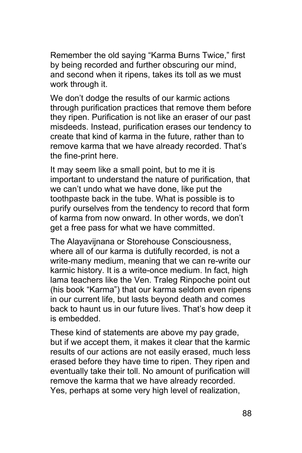Remember the old saying "Karma Burns Twice," first by being recorded and further obscuring our mind, and second when it ripens, takes its toll as we must work through it.

We don't dodge the results of our karmic actions through purification practices that remove them before they ripen. Purification is not like an eraser of our past misdeeds. Instead, purification erases our tendency to create that kind of karma in the future, rather than to remove karma that we have already recorded. That's the fine-print here.

It may seem like a small point, but to me it is important to understand the nature of purification, that we can't undo what we have done, like put the toothpaste back in the tube. What is possible is to purify ourselves from the tendency to record that form of karma from now onward. In other words, we don't get a free pass for what we have committed.

The Alayavijnana or Storehouse Consciousness, where all of our karma is dutifully recorded, is not a write-many medium, meaning that we can re-write our karmic history. It is a write-once medium. In fact, high lama teachers like the Ven. Traleg Rinpoche point out (his book "Karma") that our karma seldom even ripens in our current life, but lasts beyond death and comes back to haunt us in our future lives. That's how deep it is embedded.

These kind of statements are above my pay grade, but if we accept them, it makes it clear that the karmic results of our actions are not easily erased, much less erased before they have time to ripen. They ripen and eventually take their toll. No amount of purification will remove the karma that we have already recorded. Yes, perhaps at some very high level of realization,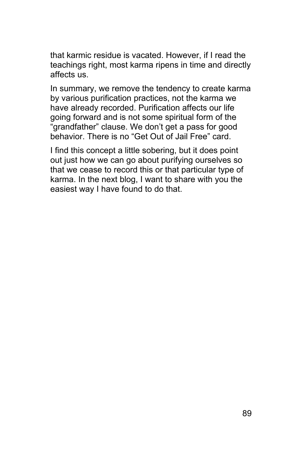that karmic residue is vacated. However, if I read the teachings right, most karma ripens in time and directly affects us.

In summary, we remove the tendency to create karma by various purification practices, not the karma we have already recorded. Purification affects our life going forward and is not some spiritual form of the "grandfather" clause. We don't get a pass for good behavior. There is no "Get Out of Jail Free" card.

I find this concept a little sobering, but it does point out just how we can go about purifying ourselves so that we cease to record this or that particular type of karma. In the next blog, I want to share with you the easiest way I have found to do that.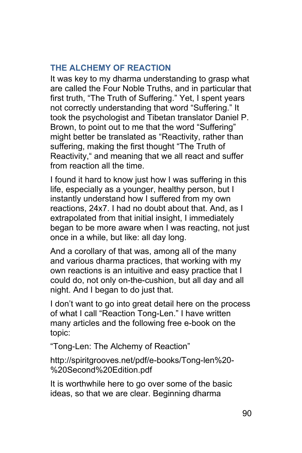# **THE ALCHEMY OF REACTION**

It was key to my dharma understanding to grasp what are called the Four Noble Truths, and in particular that first truth, "The Truth of Suffering." Yet, I spent years not correctly understanding that word "Suffering." It took the psychologist and Tibetan translator Daniel P. Brown, to point out to me that the word "Suffering" might better be translated as "Reactivity, rather than suffering, making the first thought "The Truth of Reactivity," and meaning that we all react and suffer from reaction all the time.

I found it hard to know just how I was suffering in this life, especially as a younger, healthy person, but I instantly understand how I suffered from my own reactions, 24x7. I had no doubt about that. And, as I extrapolated from that initial insight, I immediately began to be more aware when I was reacting, not just once in a while, but like: all day long.

And a corollary of that was, among all of the many and various dharma practices, that working with my own reactions is an intuitive and easy practice that I could do, not only on-the-cushion, but all day and all night. And I began to do just that.

I don't want to go into great detail here on the process of what I call "Reaction Tong-Len." I have written many articles and the following free e-book on the topic:

"Tong-Len: The Alchemy of Reaction"

http://spiritgrooves.net/pdf/e-books/Tong-len%20- %20Second%20Edition.pdf

It is worthwhile here to go over some of the basic ideas, so that we are clear. Beginning dharma